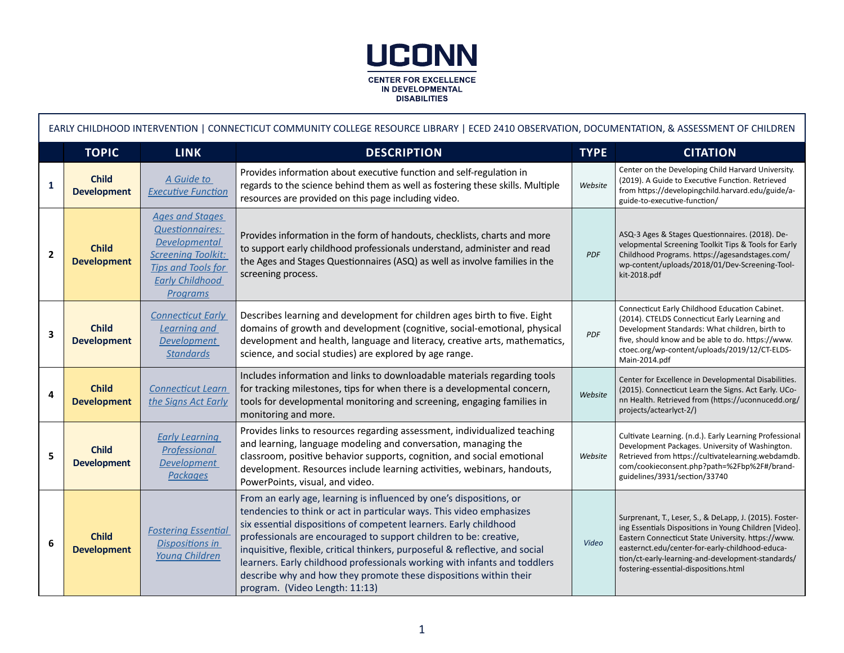

Г

| EARLY CHILDHOOD INTERVENTION   CONNECTICUT COMMUNITY COLLEGE RESOURCE LIBRARY   ECED 2410 OBSERVATION, DOCUMENTATION, & ASSESSMENT OF CHILDREN |                                    |                                                                                                                                                                                 |                                                                                                                                                                                                                                                                                                                                                                                                                                                                                                                                                            |             |                                                                                                                                                                                                                                                                                                                          |  |  |  |
|------------------------------------------------------------------------------------------------------------------------------------------------|------------------------------------|---------------------------------------------------------------------------------------------------------------------------------------------------------------------------------|------------------------------------------------------------------------------------------------------------------------------------------------------------------------------------------------------------------------------------------------------------------------------------------------------------------------------------------------------------------------------------------------------------------------------------------------------------------------------------------------------------------------------------------------------------|-------------|--------------------------------------------------------------------------------------------------------------------------------------------------------------------------------------------------------------------------------------------------------------------------------------------------------------------------|--|--|--|
|                                                                                                                                                | <b>TOPIC</b>                       | <b>LINK</b>                                                                                                                                                                     | <b>DESCRIPTION</b>                                                                                                                                                                                                                                                                                                                                                                                                                                                                                                                                         | <b>TYPE</b> | <b>CITATION</b>                                                                                                                                                                                                                                                                                                          |  |  |  |
| 1                                                                                                                                              | <b>Child</b><br><b>Development</b> | A Guide to<br><b>Executive Function</b>                                                                                                                                         | Provides information about executive function and self-regulation in<br>regards to the science behind them as well as fostering these skills. Multiple<br>resources are provided on this page including video.                                                                                                                                                                                                                                                                                                                                             | Website     | Center on the Developing Child Harvard University.<br>(2019). A Guide to Executive Function. Retrieved<br>from https://developingchild.harvard.edu/guide/a-<br>guide-to-executive-function/                                                                                                                              |  |  |  |
| $\overline{2}$                                                                                                                                 | <b>Child</b><br><b>Development</b> | <b>Ages and Stages</b><br><b>Questionnaires:</b><br><b>Developmental</b><br><b>Screening Toolkit:</b><br><b>Tips and Tools for</b><br><b>Early Childhood</b><br><b>Programs</b> | Provides information in the form of handouts, checklists, charts and more<br>to support early childhood professionals understand, administer and read<br>the Ages and Stages Questionnaires (ASQ) as well as involve families in the<br>screening process.                                                                                                                                                                                                                                                                                                 | PDF         | ASQ-3 Ages & Stages Questionnaires. (2018). De-<br>velopmental Screening Toolkit Tips & Tools for Early<br>Childhood Programs. https://agesandstages.com/<br>wp-content/uploads/2018/01/Dev-Screening-Tool-<br>kit-2018.pdf                                                                                              |  |  |  |
| 3                                                                                                                                              | <b>Child</b><br><b>Development</b> | <b>Connecticut Early</b><br>Learning and<br><b>Development</b><br><b>Standards</b>                                                                                              | Describes learning and development for children ages birth to five. Eight<br>domains of growth and development (cognitive, social-emotional, physical<br>development and health, language and literacy, creative arts, mathematics,<br>science, and social studies) are explored by age range.                                                                                                                                                                                                                                                             | PDF         | Connecticut Early Childhood Education Cabinet.<br>(2014). CTELDS Connecticut Early Learning and<br>Development Standards: What children, birth to<br>five, should know and be able to do. https://www.<br>ctoec.org/wp-content/uploads/2019/12/CT-ELDS-<br>Main-2014.pdf                                                 |  |  |  |
| 4                                                                                                                                              | <b>Child</b><br><b>Development</b> | <b>Connecticut Learn</b><br>the Signs Act Early                                                                                                                                 | Includes information and links to downloadable materials regarding tools<br>for tracking milestones, tips for when there is a developmental concern,<br>tools for developmental monitoring and screening, engaging families in<br>monitoring and more.                                                                                                                                                                                                                                                                                                     | Website     | Center for Excellence in Developmental Disabilities.<br>(2015). Connecticut Learn the Signs. Act Early. UCo-<br>nn Health. Retrieved from (https://uconnucedd.org/<br>projects/actearlyct-2/)                                                                                                                            |  |  |  |
| 5                                                                                                                                              | <b>Child</b><br><b>Development</b> | <b>Early Learning</b><br>Professional<br><b>Development</b><br><b>Packages</b>                                                                                                  | Provides links to resources regarding assessment, individualized teaching<br>and learning, language modeling and conversation, managing the<br>classroom, positive behavior supports, cognition, and social emotional<br>development. Resources include learning activities, webinars, handouts,<br>PowerPoints, visual, and video.                                                                                                                                                                                                                        | Website     | Cultivate Learning. (n.d.). Early Learning Professional<br>Development Packages. University of Washington.<br>Retrieved from https://cultivatelearning.webdamdb.<br>com/cookieconsent.php?path=%2Fbp%2F#/brand-<br>guidelines/3931/section/33740                                                                         |  |  |  |
| 6                                                                                                                                              | <b>Child</b><br><b>Development</b> | <b>Fostering Essential</b><br><b>Dispositions in</b><br>Young Children                                                                                                          | From an early age, learning is influenced by one's dispositions, or<br>tendencies to think or act in particular ways. This video emphasizes<br>six essential dispositions of competent learners. Early childhood<br>professionals are encouraged to support children to be: creative,<br>inquisitive, flexible, critical thinkers, purposeful & reflective, and social<br>learners. Early childhood professionals working with infants and toddlers<br>describe why and how they promote these dispositions within their<br>program. (Video Length: 11:13) | Video       | Surprenant, T., Leser, S., & DeLapp, J. (2015). Foster-<br>ing Essentials Dispositions in Young Children [Video].<br>Eastern Connecticut State University. https://www.<br>easternct.edu/center-for-early-childhood-educa-<br>tion/ct-early-learning-and-development-standards/<br>fostering-essential-dispositions.html |  |  |  |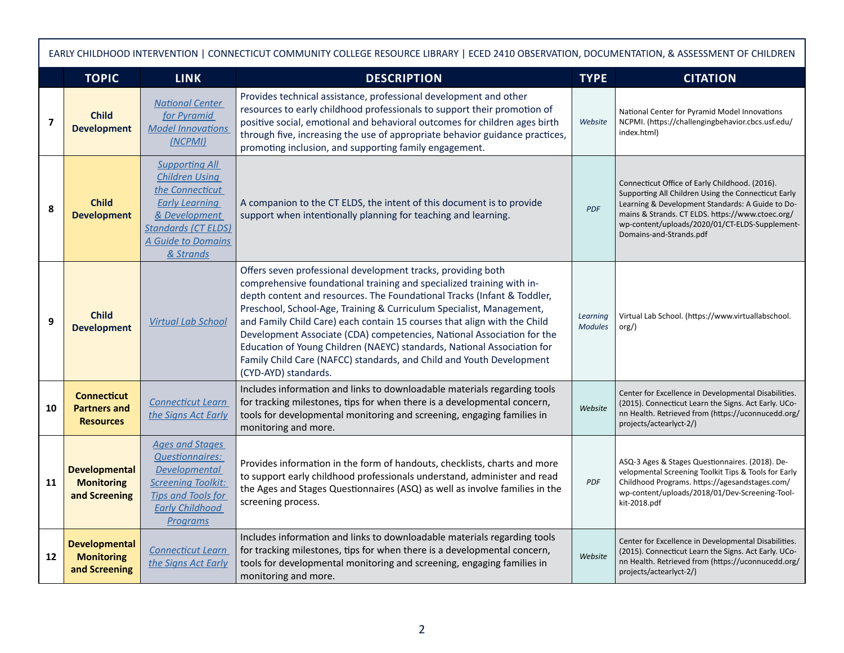|                         | EARLY CHILDHOOD INTERVENTION   CONNECTICUT COMMUNITY COLLEGE RESOURCE LIBRARY   ECED 2410 OBSERVATION, DOCUMENTATION, & ASSESSMENT OF CHILDREN |                                                                                                                                                                              |                                                                                                                                                                                                                                                                                                                                                                                                                                                                                                                                                                                                                           |                            |                                                                                                                                                                                                                                                                                            |  |  |  |
|-------------------------|------------------------------------------------------------------------------------------------------------------------------------------------|------------------------------------------------------------------------------------------------------------------------------------------------------------------------------|---------------------------------------------------------------------------------------------------------------------------------------------------------------------------------------------------------------------------------------------------------------------------------------------------------------------------------------------------------------------------------------------------------------------------------------------------------------------------------------------------------------------------------------------------------------------------------------------------------------------------|----------------------------|--------------------------------------------------------------------------------------------------------------------------------------------------------------------------------------------------------------------------------------------------------------------------------------------|--|--|--|
|                         | <b>TOPIC</b>                                                                                                                                   | <b>LINK</b>                                                                                                                                                                  | <b>DESCRIPTION</b>                                                                                                                                                                                                                                                                                                                                                                                                                                                                                                                                                                                                        | <b>TYPE</b>                | <b>CITATION</b>                                                                                                                                                                                                                                                                            |  |  |  |
| $\overline{\mathbf{z}}$ | <b>Child</b><br><b>Development</b>                                                                                                             | <b>National Center</b><br>for Pyramid<br><b>Model Innovations</b><br>(NCPMI)                                                                                                 | Provides technical assistance, professional development and other<br>resources to early childhood professionals to support their promotion of<br>positive social, emotional and behavioral outcomes for children ages birth<br>through five, increasing the use of appropriate behavior guidance practices,<br>promoting inclusion, and supporting family engagement.                                                                                                                                                                                                                                                     | Website                    | National Center for Pyramid Model Innovations<br>NCPMI. (https://challengingbehavior.cbcs.usf.edu/<br>index.html)                                                                                                                                                                          |  |  |  |
| 8                       | <b>Child</b><br><b>Development</b>                                                                                                             | <b>Supporting All</b><br><b>Children Using</b><br>the Connecticut<br><b>Early Learning</b><br>& Development<br><b>Standards (CT ELDS)</b><br>A Guide to Domains<br>& Strands | A companion to the CT ELDS, the intent of this document is to provide<br>support when intentionally planning for teaching and learning.                                                                                                                                                                                                                                                                                                                                                                                                                                                                                   | <b>PDF</b>                 | Connecticut Office of Early Childhood. (2016).<br>Supporting All Children Using the Connecticut Early<br>Learning & Development Standards: A Guide to Do-<br>mains & Strands. CT ELDS. https://www.ctoec.org/<br>wp-content/uploads/2020/01/CT-ELDS-Supplement-<br>Domains-and-Strands.pdf |  |  |  |
| 9                       | <b>Child</b><br><b>Development</b>                                                                                                             | <b>Virtual Lab School</b>                                                                                                                                                    | Offers seven professional development tracks, providing both<br>comprehensive foundational training and specialized training with in-<br>depth content and resources. The Foundational Tracks (Infant & Toddler,<br>Preschool, School-Age, Training & Curriculum Specialist, Management,<br>and Family Child Care) each contain 15 courses that align with the Child<br>Development Associate (CDA) competencies, National Association for the<br>Education of Young Children (NAEYC) standards, National Association for<br>Family Child Care (NAFCC) standards, and Child and Youth Development<br>(CYD-AYD) standards. | Learning<br><b>Modules</b> | Virtual Lab School. (https://www.virtuallabschool.<br>$\text{org}/$ )                                                                                                                                                                                                                      |  |  |  |
| 10                      | <b>Connecticut</b><br><b>Partners and</b><br><b>Resources</b>                                                                                  | <b>Connecticut Learn</b><br>the Signs Act Early                                                                                                                              | Includes information and links to downloadable materials regarding tools<br>for tracking milestones, tips for when there is a developmental concern,<br>tools for developmental monitoring and screening, engaging families in<br>monitoring and more.                                                                                                                                                                                                                                                                                                                                                                    | Website                    | Center for Excellence in Developmental Disabilities.<br>(2015). Connecticut Learn the Signs. Act Early. UCo-<br>nn Health. Retrieved from (https://uconnucedd.org/<br>projects/actearlyct-2/)                                                                                              |  |  |  |
| 11                      | <b>Developmental</b><br><b>Monitoring</b><br>and Screening                                                                                     | <b>Ages and Stages</b><br><b>Questionnaires:</b><br><b>Developmental</b><br><b>Screening Toolkit:</b><br><b>Tips and Tools for</b><br><b>Early Childhood</b><br>Programs     | Provides information in the form of handouts, checklists, charts and more<br>to support early childhood professionals understand, administer and read<br>the Ages and Stages Questionnaires (ASQ) as well as involve families in the<br>screening process.                                                                                                                                                                                                                                                                                                                                                                | <b>PDF</b>                 | ASQ-3 Ages & Stages Questionnaires. (2018). De-<br>velopmental Screening Toolkit Tips & Tools for Early<br>Childhood Programs. https://agesandstages.com/<br>wp-content/uploads/2018/01/Dev-Screening-Tool-<br>kit-2018.pdf                                                                |  |  |  |
| 12                      | <b>Developmental</b><br><b>Monitoring</b><br>and Screening                                                                                     | <b>Connecticut Learn</b><br>the Signs Act Early                                                                                                                              | Includes information and links to downloadable materials regarding tools<br>for tracking milestones, tips for when there is a developmental concern,<br>tools for developmental monitoring and screening, engaging families in<br>monitoring and more.                                                                                                                                                                                                                                                                                                                                                                    | Website                    | Center for Excellence in Developmental Disabilities.<br>(2015). Connecticut Learn the Signs. Act Early. UCo-<br>nn Health. Retrieved from (https://uconnucedd.org/<br>projects/actearlyct-2/)                                                                                              |  |  |  |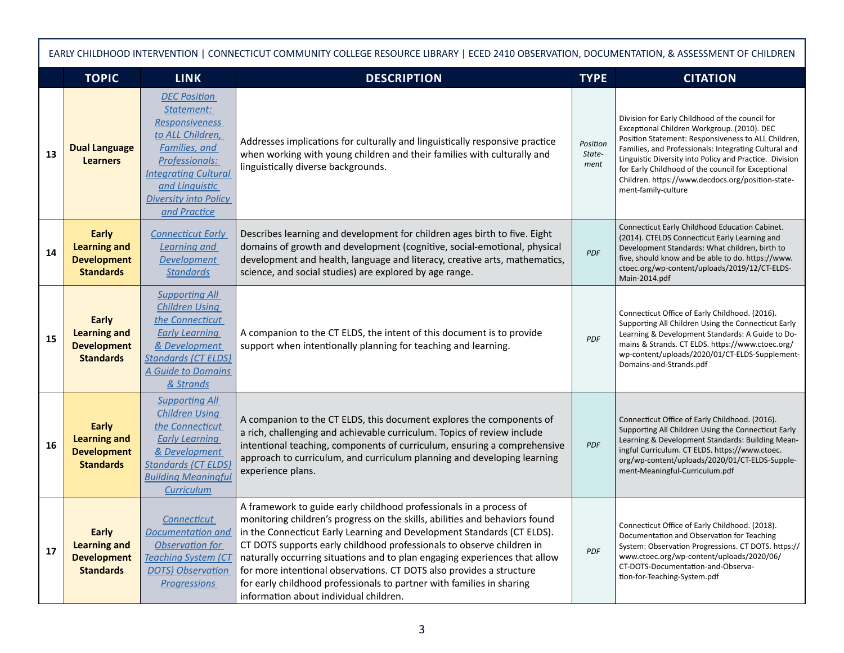|    | EARLY CHILDHOOD INTERVENTION   CONNECTICUT COMMUNITY COLLEGE RESOURCE LIBRARY   ECED 2410 OBSERVATION, DOCUMENTATION, & ASSESSMENT OF CHILDREN |                                                                                                                                                                                                                            |                                                                                                                                                                                                                                                                                                                                                                                                                                                                                                                                                                               |                            |                                                                                                                                                                                                                                                                                                                                                                                                             |  |  |  |
|----|------------------------------------------------------------------------------------------------------------------------------------------------|----------------------------------------------------------------------------------------------------------------------------------------------------------------------------------------------------------------------------|-------------------------------------------------------------------------------------------------------------------------------------------------------------------------------------------------------------------------------------------------------------------------------------------------------------------------------------------------------------------------------------------------------------------------------------------------------------------------------------------------------------------------------------------------------------------------------|----------------------------|-------------------------------------------------------------------------------------------------------------------------------------------------------------------------------------------------------------------------------------------------------------------------------------------------------------------------------------------------------------------------------------------------------------|--|--|--|
|    | <b>TOPIC</b>                                                                                                                                   | <b>LINK</b>                                                                                                                                                                                                                | <b>DESCRIPTION</b>                                                                                                                                                                                                                                                                                                                                                                                                                                                                                                                                                            | <b>TYPE</b>                | <b>CITATION</b>                                                                                                                                                                                                                                                                                                                                                                                             |  |  |  |
| 13 | <b>Dual Language</b><br><b>Learners</b>                                                                                                        | <b>DEC Position</b><br>Statement:<br><b>Responsiveness</b><br>to ALL Children,<br><b>Families</b> , and<br>Professionals:<br><b>Integrating Cultural</b><br>and Linguistic<br><b>Diversity into Policy</b><br>and Practice | Addresses implications for culturally and linguistically responsive practice<br>when working with young children and their families with culturally and<br>linguistically diverse backgrounds.                                                                                                                                                                                                                                                                                                                                                                                | Position<br>State-<br>ment | Division for Early Childhood of the council for<br>Exceptional Children Workgroup. (2010). DEC<br>Position Statement: Responsiveness to ALL Children,<br>Families, and Professionals: Integrating Cultural and<br>Linguistic Diversity into Policy and Practice. Division<br>for Early Childhood of the council for Exceptional<br>Children. https://www.decdocs.org/position-state-<br>ment-family-culture |  |  |  |
| 14 | Early<br><b>Learning and</b><br><b>Development</b><br><b>Standards</b>                                                                         | <b>Connecticut Early</b><br><b>Learning and</b><br><b>Development</b><br><b>Standards</b>                                                                                                                                  | Describes learning and development for children ages birth to five. Eight<br>domains of growth and development (cognitive, social-emotional, physical<br>development and health, language and literacy, creative arts, mathematics,<br>science, and social studies) are explored by age range.                                                                                                                                                                                                                                                                                | <b>PDF</b>                 | Connecticut Early Childhood Education Cabinet.<br>(2014). CTELDS Connecticut Early Learning and<br>Development Standards: What children, birth to<br>five, should know and be able to do. https://www.<br>ctoec.org/wp-content/uploads/2019/12/CT-ELDS-<br>Main-2014.pdf                                                                                                                                    |  |  |  |
| 15 | Early<br><b>Learning and</b><br><b>Development</b><br><b>Standards</b>                                                                         | <b>Supporting All</b><br><b>Children Using</b><br>the Connecticut<br><b>Early Learning</b><br>& Development<br><b>Standards (CT ELDS)</b><br>A Guide to Domains<br>& Strands                                               | A companion to the CT ELDS, the intent of this document is to provide<br>support when intentionally planning for teaching and learning.                                                                                                                                                                                                                                                                                                                                                                                                                                       | <b>PDF</b>                 | Connecticut Office of Early Childhood. (2016).<br>Supporting All Children Using the Connecticut Early<br>Learning & Development Standards: A Guide to Do-<br>mains & Strands. CT ELDS. https://www.ctoec.org/<br>wp-content/uploads/2020/01/CT-ELDS-Supplement-<br>Domains-and-Strands.pdf                                                                                                                  |  |  |  |
| 16 | Early<br><b>Learning and</b><br><b>Development</b><br><b>Standards</b>                                                                         | <b>Supporting All</b><br><b>Children Using</b><br>the Connecticut<br><b>Early Learning</b><br>& Development<br><b>Standards (CT ELDS)</b><br><b>Building Meaningful</b><br><b>Curriculum</b>                               | A companion to the CT ELDS, this document explores the components of<br>a rich, challenging and achievable curriculum. Topics of review include<br>intentional teaching, components of curriculum, ensuring a comprehensive<br>approach to curriculum, and curriculum planning and developing learning<br>experience plans.                                                                                                                                                                                                                                                   | <b>PDF</b>                 | Connecticut Office of Early Childhood. (2016).<br>Supporting All Children Using the Connecticut Early<br>Learning & Development Standards: Building Mean-<br>ingful Curriculum. CT ELDS. https://www.ctoec.<br>org/wp-content/uploads/2020/01/CT-ELDS-Supple-<br>ment-Meaningful-Curriculum.pdf                                                                                                             |  |  |  |
| 17 | <b>Early</b><br><b>Learning and</b><br><b>Development</b><br><b>Standards</b>                                                                  | <b>Connecticut</b><br><b>Documentation and</b><br>Observation for<br><b>Teaching System (CT</b><br><b>DOTS) Observation</b><br><b>Progressions</b>                                                                         | A framework to guide early childhood professionals in a process of<br>monitoring children's progress on the skills, abilities and behaviors found<br>in the Connecticut Early Learning and Development Standards (CT ELDS).<br>CT DOTS supports early childhood professionals to observe children in<br>naturally occurring situations and to plan engaging experiences that allow<br>for more intentional observations. CT DOTS also provides a structure<br>for early childhood professionals to partner with families in sharing<br>information about individual children. | PDF                        | Connecticut Office of Early Childhood. (2018).<br>Documentation and Observation for Teaching<br>System: Observation Progressions. CT DOTS. https://<br>www.ctoec.org/wp-content/uploads/2020/06/<br>CT-DOTS-Documentation-and-Observa-<br>tion-for-Teaching-System.pdf                                                                                                                                      |  |  |  |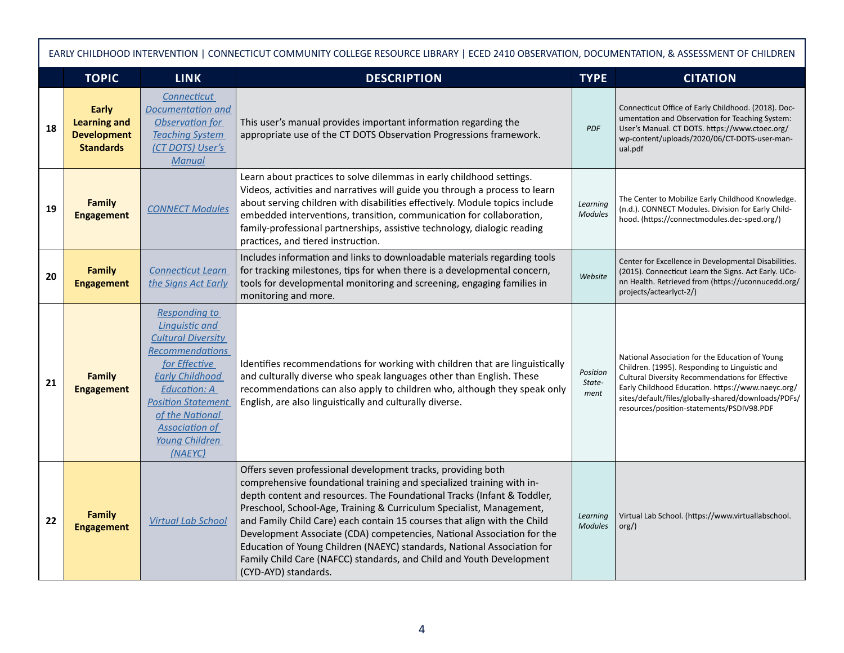|    | EARLY CHILDHOOD INTERVENTION   CONNECTICUT COMMUNITY COLLEGE RESOURCE LIBRARY   ECED 2410 OBSERVATION, DOCUMENTATION, & ASSESSMENT OF CHILDREN |                                                                                                                                                                                                                                                                              |                                                                                                                                                                                                                                                                                                                                                                                                                                                                                                                                                                                                                           |                            |                                                                                                                                                                                                                                                                                                                |  |  |  |
|----|------------------------------------------------------------------------------------------------------------------------------------------------|------------------------------------------------------------------------------------------------------------------------------------------------------------------------------------------------------------------------------------------------------------------------------|---------------------------------------------------------------------------------------------------------------------------------------------------------------------------------------------------------------------------------------------------------------------------------------------------------------------------------------------------------------------------------------------------------------------------------------------------------------------------------------------------------------------------------------------------------------------------------------------------------------------------|----------------------------|----------------------------------------------------------------------------------------------------------------------------------------------------------------------------------------------------------------------------------------------------------------------------------------------------------------|--|--|--|
|    | <b>TOPIC</b>                                                                                                                                   | <b>LINK</b>                                                                                                                                                                                                                                                                  | <b>DESCRIPTION</b>                                                                                                                                                                                                                                                                                                                                                                                                                                                                                                                                                                                                        | <b>TYPE</b>                | <b>CITATION</b>                                                                                                                                                                                                                                                                                                |  |  |  |
| 18 | <b>Early</b><br><b>Learning and</b><br><b>Development</b><br><b>Standards</b>                                                                  | Connecticut<br><b>Documentation and</b><br>Observation for<br><b>Teaching System</b><br>(CT DOTS) User's<br><b>Manual</b>                                                                                                                                                    | This user's manual provides important information regarding the<br>appropriate use of the CT DOTS Observation Progressions framework.                                                                                                                                                                                                                                                                                                                                                                                                                                                                                     | <b>PDF</b>                 | Connecticut Office of Early Childhood. (2018). Doc-<br>umentation and Observation for Teaching System:<br>User's Manual. CT DOTS. https://www.ctoec.org/<br>wp-content/uploads/2020/06/CT-DOTS-user-man-<br>ual.pdf                                                                                            |  |  |  |
| 19 | <b>Family</b><br><b>Engagement</b>                                                                                                             | <b>CONNECT Modules</b>                                                                                                                                                                                                                                                       | Learn about practices to solve dilemmas in early childhood settings.<br>Videos, activities and narratives will guide you through a process to learn<br>about serving children with disabilities effectively. Module topics include<br>embedded interventions, transition, communication for collaboration,<br>family-professional partnerships, assistive technology, dialogic reading<br>practices, and tiered instruction.                                                                                                                                                                                              | Learning<br><b>Modules</b> | The Center to Mobilize Early Childhood Knowledge.<br>(n.d.). CONNECT Modules. Division for Early Child-<br>hood. (https://connectmodules.dec-sped.org/)                                                                                                                                                        |  |  |  |
| 20 | <b>Family</b><br><b>Engagement</b>                                                                                                             | <b>Connecticut Learn</b><br>the Signs Act Early                                                                                                                                                                                                                              | Includes information and links to downloadable materials regarding tools<br>for tracking milestones, tips for when there is a developmental concern,<br>tools for developmental monitoring and screening, engaging families in<br>monitoring and more.                                                                                                                                                                                                                                                                                                                                                                    | Website                    | Center for Excellence in Developmental Disabilities.<br>(2015). Connecticut Learn the Signs. Act Early. UCo-<br>nn Health. Retrieved from (https://uconnucedd.org/<br>projects/actearlyct-2/)                                                                                                                  |  |  |  |
| 21 | <b>Family</b><br><b>Engagement</b>                                                                                                             | <b>Responding to</b><br><b>Linguistic and</b><br><b>Cultural Diversity</b><br><b>Recommendations</b><br>for Effective<br><b>Early Childhood</b><br><b>Education: A</b><br><b>Position Statement</b><br>of the National<br><b>Association of</b><br>Young Children<br>(NAEYC) | Identifies recommendations for working with children that are linguistically<br>and culturally diverse who speak languages other than English. These<br>recommendations can also apply to children who, although they speak only<br>English, are also linguistically and culturally diverse.                                                                                                                                                                                                                                                                                                                              | Position<br>State-<br>ment | National Association for the Education of Young<br>Children. (1995). Responding to Linguistic and<br>Cultural Diversity Recommendations for Effective<br>Early Childhood Education. https://www.naeyc.org/<br>sites/default/files/globally-shared/downloads/PDFs/<br>resources/position-statements/PSDIV98.PDF |  |  |  |
| 22 | <b>Family</b><br><b>Engagement</b>                                                                                                             | <b>Virtual Lab School</b>                                                                                                                                                                                                                                                    | Offers seven professional development tracks, providing both<br>comprehensive foundational training and specialized training with in-<br>depth content and resources. The Foundational Tracks (Infant & Toddler,<br>Preschool, School-Age, Training & Curriculum Specialist, Management,<br>and Family Child Care) each contain 15 courses that align with the Child<br>Development Associate (CDA) competencies, National Association for the<br>Education of Young Children (NAEYC) standards, National Association for<br>Family Child Care (NAFCC) standards, and Child and Youth Development<br>(CYD-AYD) standards. | Learning<br><b>Modules</b> | Virtual Lab School. (https://www.virtuallabschool.<br>org/                                                                                                                                                                                                                                                     |  |  |  |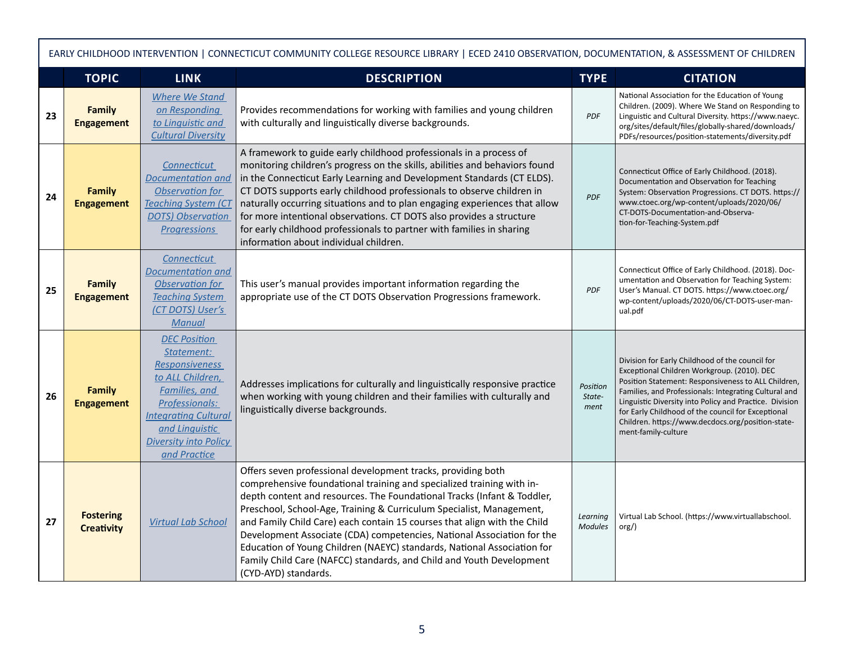|    | EARLY CHILDHOOD INTERVENTION   CONNECTICUT COMMUNITY COLLEGE RESOURCE LIBRARY   ECED 2410 OBSERVATION, DOCUMENTATION, & ASSESSMENT OF CHILDREN |                                                                                                                                                                                                                    |                                                                                                                                                                                                                                                                                                                                                                                                                                                                                                                                                                                                                           |                            |                                                                                                                                                                                                                                                                                                                                                                                                             |  |  |  |
|----|------------------------------------------------------------------------------------------------------------------------------------------------|--------------------------------------------------------------------------------------------------------------------------------------------------------------------------------------------------------------------|---------------------------------------------------------------------------------------------------------------------------------------------------------------------------------------------------------------------------------------------------------------------------------------------------------------------------------------------------------------------------------------------------------------------------------------------------------------------------------------------------------------------------------------------------------------------------------------------------------------------------|----------------------------|-------------------------------------------------------------------------------------------------------------------------------------------------------------------------------------------------------------------------------------------------------------------------------------------------------------------------------------------------------------------------------------------------------------|--|--|--|
|    | <b>TOPIC</b>                                                                                                                                   | <b>LINK</b>                                                                                                                                                                                                        | <b>DESCRIPTION</b>                                                                                                                                                                                                                                                                                                                                                                                                                                                                                                                                                                                                        | <b>TYPE</b>                | <b>CITATION</b>                                                                                                                                                                                                                                                                                                                                                                                             |  |  |  |
| 23 | <b>Family</b><br><b>Engagement</b>                                                                                                             | <b>Where We Stand</b><br>on Responding<br>to Linguistic and<br><b>Cultural Diversity</b>                                                                                                                           | Provides recommendations for working with families and young children<br>with culturally and linguistically diverse backgrounds.                                                                                                                                                                                                                                                                                                                                                                                                                                                                                          | <b>PDF</b>                 | National Association for the Education of Young<br>Children. (2009). Where We Stand on Responding to<br>Linguistic and Cultural Diversity. https://www.naeyc.<br>org/sites/default/files/globally-shared/downloads/<br>PDFs/resources/position-statements/diversity.pdf                                                                                                                                     |  |  |  |
| 24 | <b>Family</b><br><b>Engagement</b>                                                                                                             | Connecticut<br><b>Documentation and</b><br>Observation for<br><b>Teaching System (CT</b><br><b>DOTS</b> ) Observation<br><b>Progressions</b>                                                                       | A framework to guide early childhood professionals in a process of<br>monitoring children's progress on the skills, abilities and behaviors found<br>in the Connecticut Early Learning and Development Standards (CT ELDS).<br>CT DOTS supports early childhood professionals to observe children in<br>naturally occurring situations and to plan engaging experiences that allow<br>for more intentional observations. CT DOTS also provides a structure<br>for early childhood professionals to partner with families in sharing<br>information about individual children.                                             | PDF                        | Connecticut Office of Early Childhood. (2018).<br>Documentation and Observation for Teaching<br>System: Observation Progressions. CT DOTS. https://<br>www.ctoec.org/wp-content/uploads/2020/06/<br>CT-DOTS-Documentation-and-Observa-<br>tion-for-Teaching-System.pdf                                                                                                                                      |  |  |  |
| 25 | <b>Family</b><br><b>Engagement</b>                                                                                                             | Connecticut<br>Documentation and<br>Observation for<br><b>Teaching System</b><br>(CT DOTS) User's<br><b>Manual</b>                                                                                                 | This user's manual provides important information regarding the<br>appropriate use of the CT DOTS Observation Progressions framework.                                                                                                                                                                                                                                                                                                                                                                                                                                                                                     | <b>PDF</b>                 | Connecticut Office of Early Childhood. (2018). Doc-<br>umentation and Observation for Teaching System:<br>User's Manual. CT DOTS. https://www.ctoec.org/<br>wp-content/uploads/2020/06/CT-DOTS-user-man-<br>ual.pdf                                                                                                                                                                                         |  |  |  |
| 26 | Family<br><b>Engagement</b>                                                                                                                    | <b>DEC Position</b><br>Statement:<br><b>Responsiveness</b><br>to ALL Children,<br>Families, and<br>Professionals:<br><b>Integrating Cultural</b><br>and Linquistic<br><b>Diversity into Policy</b><br>and Practice | Addresses implications for culturally and linguistically responsive practice<br>when working with young children and their families with culturally and<br>linguistically diverse backgrounds.                                                                                                                                                                                                                                                                                                                                                                                                                            | Position<br>State-<br>ment | Division for Early Childhood of the council for<br>Exceptional Children Workgroup. (2010). DEC<br>Position Statement: Responsiveness to ALL Children,<br>Families, and Professionals: Integrating Cultural and<br>Linguistic Diversity into Policy and Practice. Division<br>for Early Childhood of the council for Exceptional<br>Children. https://www.decdocs.org/position-state-<br>ment-family-culture |  |  |  |
| 27 | <b>Fostering</b><br><b>Creativity</b>                                                                                                          | <b>Virtual Lab School</b>                                                                                                                                                                                          | Offers seven professional development tracks, providing both<br>comprehensive foundational training and specialized training with in-<br>depth content and resources. The Foundational Tracks (Infant & Toddler,<br>Preschool, School-Age, Training & Curriculum Specialist, Management,<br>and Family Child Care) each contain 15 courses that align with the Child<br>Development Associate (CDA) competencies, National Association for the<br>Education of Young Children (NAEYC) standards, National Association for<br>Family Child Care (NAFCC) standards, and Child and Youth Development<br>(CYD-AYD) standards. | Learning<br><b>Modules</b> | Virtual Lab School. (https://www.virtuallabschool.<br>org()                                                                                                                                                                                                                                                                                                                                                 |  |  |  |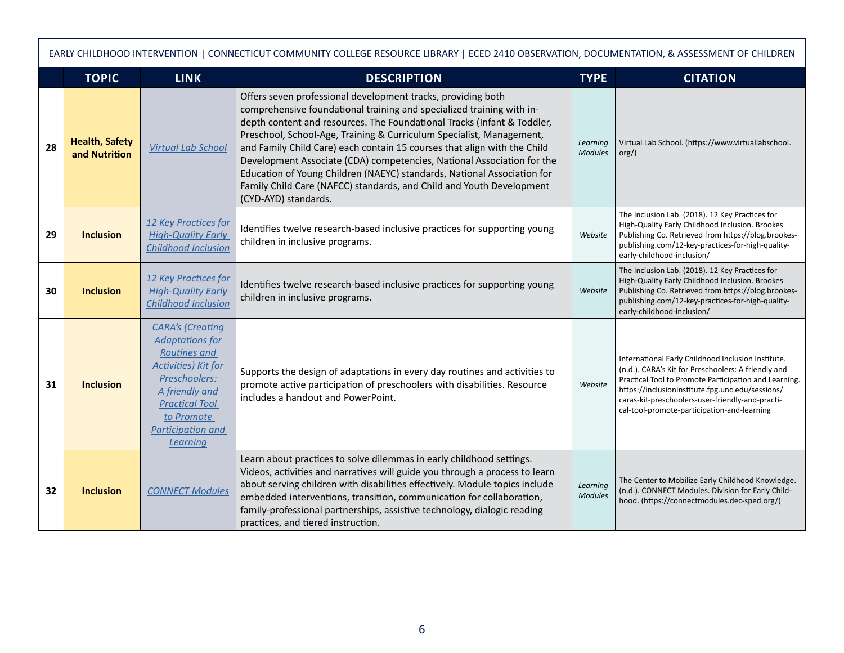|    | EARLY CHILDHOOD INTERVENTION   CONNECTICUT COMMUNITY COLLEGE RESOURCE LIBRARY   ECED 2410 OBSERVATION, DOCUMENTATION, & ASSESSMENT OF CHILDREN |                                                                                                                                                                                                             |                                                                                                                                                                                                                                                                                                                                                                                                                                                                                                                                                                                                                           |                            |                                                                                                                                                                                                                                                                                                                           |  |  |  |
|----|------------------------------------------------------------------------------------------------------------------------------------------------|-------------------------------------------------------------------------------------------------------------------------------------------------------------------------------------------------------------|---------------------------------------------------------------------------------------------------------------------------------------------------------------------------------------------------------------------------------------------------------------------------------------------------------------------------------------------------------------------------------------------------------------------------------------------------------------------------------------------------------------------------------------------------------------------------------------------------------------------------|----------------------------|---------------------------------------------------------------------------------------------------------------------------------------------------------------------------------------------------------------------------------------------------------------------------------------------------------------------------|--|--|--|
|    | <b>TOPIC</b>                                                                                                                                   | <b>LINK</b>                                                                                                                                                                                                 | <b>DESCRIPTION</b>                                                                                                                                                                                                                                                                                                                                                                                                                                                                                                                                                                                                        | <b>TYPE</b>                | <b>CITATION</b>                                                                                                                                                                                                                                                                                                           |  |  |  |
| 28 | <b>Health, Safety</b><br>and Nutrition                                                                                                         | <b>Virtual Lab School</b>                                                                                                                                                                                   | Offers seven professional development tracks, providing both<br>comprehensive foundational training and specialized training with in-<br>depth content and resources. The Foundational Tracks (Infant & Toddler,<br>Preschool, School-Age, Training & Curriculum Specialist, Management,<br>and Family Child Care) each contain 15 courses that align with the Child<br>Development Associate (CDA) competencies, National Association for the<br>Education of Young Children (NAEYC) standards, National Association for<br>Family Child Care (NAFCC) standards, and Child and Youth Development<br>(CYD-AYD) standards. | Learning<br><b>Modules</b> | Virtual Lab School. (https://www.virtuallabschool.<br>org()                                                                                                                                                                                                                                                               |  |  |  |
| 29 | <b>Inclusion</b>                                                                                                                               | 12 Key Practices for<br><b>High-Quality Early</b><br><b>Childhood Inclusion</b>                                                                                                                             | Identifies twelve research-based inclusive practices for supporting young<br>children in inclusive programs.                                                                                                                                                                                                                                                                                                                                                                                                                                                                                                              | Website                    | The Inclusion Lab. (2018). 12 Key Practices for<br>High-Quality Early Childhood Inclusion. Brookes<br>Publishing Co. Retrieved from https://blog.brookes-<br>publishing.com/12-key-practices-for-high-quality-<br>early-childhood-inclusion/                                                                              |  |  |  |
| 30 | <b>Inclusion</b>                                                                                                                               | 12 Key Practices for<br><b>High-Quality Early</b><br><b>Childhood Inclusion</b>                                                                                                                             | Identifies twelve research-based inclusive practices for supporting young<br>children in inclusive programs.                                                                                                                                                                                                                                                                                                                                                                                                                                                                                                              | Website                    | The Inclusion Lab. (2018). 12 Key Practices for<br>High-Quality Early Childhood Inclusion. Brookes<br>Publishing Co. Retrieved from https://blog.brookes-<br>publishing.com/12-key-practices-for-high-quality-<br>early-childhood-inclusion/                                                                              |  |  |  |
| 31 | <b>Inclusion</b>                                                                                                                               | <b>CARA's (Creating</b><br><b>Adaptations for</b><br>Routines and<br><b>Activities</b> ) Kit for<br>Preschoolers:<br>A friendly and<br><b>Practical Tool</b><br>to Promote<br>Participation and<br>Learning | Supports the design of adaptations in every day routines and activities to<br>promote active participation of preschoolers with disabilities. Resource<br>includes a handout and PowerPoint.                                                                                                                                                                                                                                                                                                                                                                                                                              | Website                    | International Early Childhood Inclusion Institute.<br>(n.d.). CARA's Kit for Preschoolers: A friendly and<br>Practical Tool to Promote Participation and Learning.<br>https://inclusioninstitute.fpg.unc.edu/sessions/<br>caras-kit-preschoolers-user-friendly-and-practi-<br>cal-tool-promote-participation-and-learning |  |  |  |
| 32 | <b>Inclusion</b>                                                                                                                               | <b>CONNECT Modules</b>                                                                                                                                                                                      | Learn about practices to solve dilemmas in early childhood settings.<br>Videos, activities and narratives will guide you through a process to learn<br>about serving children with disabilities effectively. Module topics include<br>embedded interventions, transition, communication for collaboration,<br>family-professional partnerships, assistive technology, dialogic reading<br>practices, and tiered instruction.                                                                                                                                                                                              | Learning<br><b>Modules</b> | The Center to Mobilize Early Childhood Knowledge.<br>(n.d.). CONNECT Modules. Division for Early Child-<br>hood. (https://connectmodules.dec-sped.org/)                                                                                                                                                                   |  |  |  |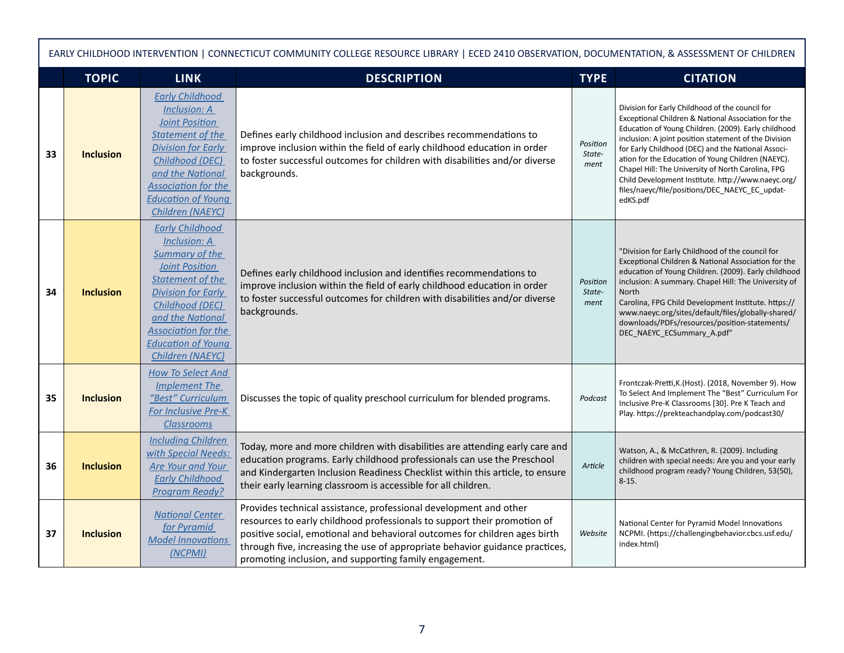|    | EARLY CHILDHOOD INTERVENTION   CONNECTICUT COMMUNITY COLLEGE RESOURCE LIBRARY   ECED 2410 OBSERVATION, DOCUMENTATION, & ASSESSMENT OF CHILDREN |                                                                                                                                                                                                                                                                 |                                                                                                                                                                                                                                                                                                                                                                       |                            |                                                                                                                                                                                                                                                                                                                                                                                                                                                                                                               |  |  |  |
|----|------------------------------------------------------------------------------------------------------------------------------------------------|-----------------------------------------------------------------------------------------------------------------------------------------------------------------------------------------------------------------------------------------------------------------|-----------------------------------------------------------------------------------------------------------------------------------------------------------------------------------------------------------------------------------------------------------------------------------------------------------------------------------------------------------------------|----------------------------|---------------------------------------------------------------------------------------------------------------------------------------------------------------------------------------------------------------------------------------------------------------------------------------------------------------------------------------------------------------------------------------------------------------------------------------------------------------------------------------------------------------|--|--|--|
|    | <b>TOPIC</b>                                                                                                                                   | <b>LINK</b>                                                                                                                                                                                                                                                     | <b>DESCRIPTION</b>                                                                                                                                                                                                                                                                                                                                                    | <b>TYPE</b>                | <b>CITATION</b>                                                                                                                                                                                                                                                                                                                                                                                                                                                                                               |  |  |  |
| 33 | <b>Inclusion</b>                                                                                                                               | <b>Early Childhood</b><br><b>Inclusion: A</b><br><b>Joint Position</b><br><b>Statement of the</b><br><b>Division for Early</b><br>Childhood (DEC)<br>and the National<br><b>Association for the</b><br><b>Education of Young</b><br>Children (NAEYC)            | Defines early childhood inclusion and describes recommendations to<br>improve inclusion within the field of early childhood education in order<br>to foster successful outcomes for children with disabilities and/or diverse<br>backgrounds.                                                                                                                         | Position<br>State-<br>ment | Division for Early Childhood of the council for<br>Exceptional Children & National Association for the<br>Education of Young Children. (2009). Early childhood<br>inclusion: A joint position statement of the Division<br>for Early Childhood (DEC) and the National Associ-<br>ation for the Education of Young Children (NAEYC).<br>Chapel Hill: The University of North Carolina, FPG<br>Child Development Institute. http://www.naeyc.org/<br>files/naeyc/file/positions/DEC_NAEYC_EC_updat-<br>edKS.pdf |  |  |  |
| 34 | <b>Inclusion</b>                                                                                                                               | <b>Early Childhood</b><br>Inclusion: A<br><b>Summary of the</b><br>Joint Position<br><b>Statement of the</b><br><b>Division for Early</b><br>Childhood (DEC)<br>and the National<br><b>Association for the</b><br><b>Education of Young</b><br>Children (NAEYC) | Defines early childhood inclusion and identifies recommendations to<br>improve inclusion within the field of early childhood education in order<br>to foster successful outcomes for children with disabilities and/or diverse<br>backgrounds.                                                                                                                        | Position<br>State-<br>ment | "Division for Early Childhood of the council for<br>Exceptional Children & National Association for the<br>education of Young Children. (2009). Early childhood<br>inclusion: A summary. Chapel Hill: The University of<br><b>North</b><br>Carolina, FPG Child Development Institute. https://<br>www.naeyc.org/sites/default/files/globally-shared/<br>downloads/PDFs/resources/position-statements/<br>DEC_NAEYC_ECSummary_A.pdf"                                                                           |  |  |  |
| 35 | <b>Inclusion</b>                                                                                                                               | <b>How To Select And</b><br><b>Implement The</b><br>"Best" Curriculum<br><b>For Inclusive Pre-K</b><br><b>Classrooms</b>                                                                                                                                        | Discusses the topic of quality preschool curriculum for blended programs.                                                                                                                                                                                                                                                                                             | Podcast                    | Frontczak-Pretti, K. (Host). (2018, November 9). How<br>To Select And Implement The "Best" Curriculum For<br>Inclusive Pre-K Classrooms [30]. Pre K Teach and<br>Play. https://prekteachandplay.com/podcast30/                                                                                                                                                                                                                                                                                                |  |  |  |
| 36 | <b>Inclusion</b>                                                                                                                               | <b>Including Children</b><br>with Special Needs:<br>Are Your and Your<br><b>Early Childhood</b><br><b>Program Ready?</b>                                                                                                                                        | Today, more and more children with disabilities are attending early care and<br>education programs. Early childhood professionals can use the Preschool<br>and Kindergarten Inclusion Readiness Checklist within this article, to ensure<br>their early learning classroom is accessible for all children.                                                            | Article                    | Watson, A., & McCathren, R. (2009). Including<br>children with special needs: Are you and your early<br>childhood program ready? Young Children, 53(50),<br>$8 - 15.$                                                                                                                                                                                                                                                                                                                                         |  |  |  |
| 37 | <b>Inclusion</b>                                                                                                                               | <b>National Center</b><br>for Pyramid<br><b>Model Innovations</b><br>(NCPMI)                                                                                                                                                                                    | Provides technical assistance, professional development and other<br>resources to early childhood professionals to support their promotion of<br>positive social, emotional and behavioral outcomes for children ages birth<br>through five, increasing the use of appropriate behavior guidance practices,<br>promoting inclusion, and supporting family engagement. | Website                    | National Center for Pyramid Model Innovations<br>NCPMI. (https://challengingbehavior.cbcs.usf.edu/<br>index.html)                                                                                                                                                                                                                                                                                                                                                                                             |  |  |  |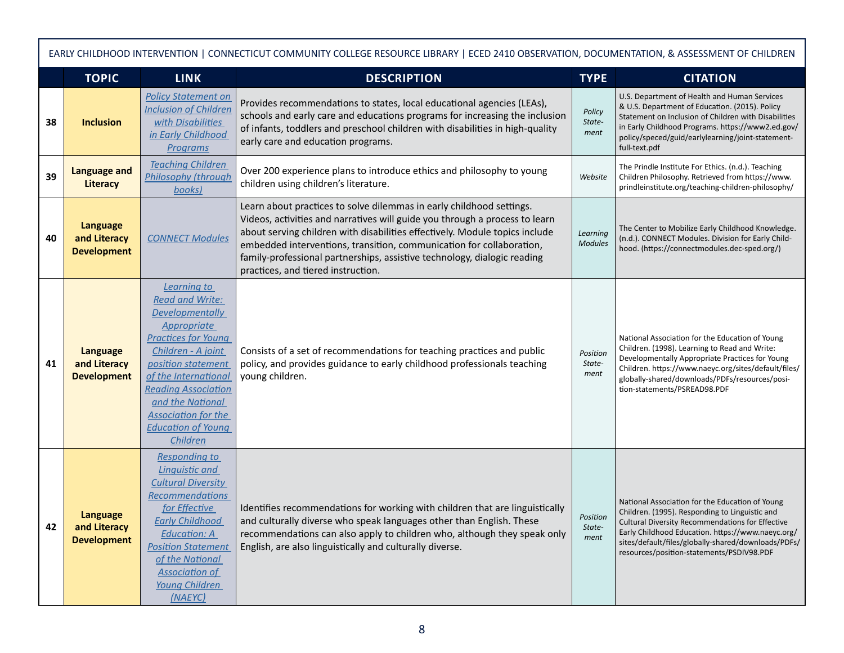|    | EARLY CHILDHOOD INTERVENTION   CONNECTICUT COMMUNITY COLLEGE RESOURCE LIBRARY   ECED 2410 OBSERVATION, DOCUMENTATION, & ASSESSMENT OF CHILDREN |                                                                                                                                                                                                                                                                                                                  |                                                                                                                                                                                                                                                                                                                                                                                                                              |                            |                                                                                                                                                                                                                                                                                                                |  |  |  |
|----|------------------------------------------------------------------------------------------------------------------------------------------------|------------------------------------------------------------------------------------------------------------------------------------------------------------------------------------------------------------------------------------------------------------------------------------------------------------------|------------------------------------------------------------------------------------------------------------------------------------------------------------------------------------------------------------------------------------------------------------------------------------------------------------------------------------------------------------------------------------------------------------------------------|----------------------------|----------------------------------------------------------------------------------------------------------------------------------------------------------------------------------------------------------------------------------------------------------------------------------------------------------------|--|--|--|
|    | <b>TOPIC</b>                                                                                                                                   | <b>LINK</b>                                                                                                                                                                                                                                                                                                      | <b>DESCRIPTION</b>                                                                                                                                                                                                                                                                                                                                                                                                           | <b>TYPE</b>                | <b>CITATION</b>                                                                                                                                                                                                                                                                                                |  |  |  |
| 38 | <b>Inclusion</b>                                                                                                                               | <b>Policy Statement on</b><br><b>Inclusion of Children</b><br>with Disabilities<br>in Early Childhood<br><b>Programs</b>                                                                                                                                                                                         | Provides recommendations to states, local educational agencies (LEAs),<br>schools and early care and educations programs for increasing the inclusion<br>of infants, toddlers and preschool children with disabilities in high-quality<br>early care and education programs.                                                                                                                                                 | Policy<br>State-<br>ment   | U.S. Department of Health and Human Services<br>& U.S. Department of Education. (2015). Policy<br>Statement on Inclusion of Children with Disabilities<br>in Early Childhood Programs. https://www2.ed.gov/<br>policy/speced/guid/earlylearning/joint-statement-<br>full-text.pdf                              |  |  |  |
| 39 | <b>Language and</b><br>Literacy                                                                                                                | <b>Teaching Children</b><br><b>Philosophy (through</b><br>books)                                                                                                                                                                                                                                                 | Over 200 experience plans to introduce ethics and philosophy to young<br>children using children's literature.                                                                                                                                                                                                                                                                                                               | Website                    | The Prindle Institute For Ethics. (n.d.). Teaching<br>Children Philosophy. Retrieved from https://www.<br>prindleinstitute.org/teaching-children-philosophy/                                                                                                                                                   |  |  |  |
| 40 | <b>Language</b><br>and Literacy<br><b>Development</b>                                                                                          | <b>CONNECT Modules</b>                                                                                                                                                                                                                                                                                           | Learn about practices to solve dilemmas in early childhood settings.<br>Videos, activities and narratives will guide you through a process to learn<br>about serving children with disabilities effectively. Module topics include<br>embedded interventions, transition, communication for collaboration,<br>family-professional partnerships, assistive technology, dialogic reading<br>practices, and tiered instruction. | Learning<br><b>Modules</b> | The Center to Mobilize Early Childhood Knowledge.<br>(n.d.). CONNECT Modules. Division for Early Child-<br>hood. (https://connectmodules.dec-sped.org/)                                                                                                                                                        |  |  |  |
| 41 | <b>Language</b><br>and Literacy<br><b>Development</b>                                                                                          | Learning to<br><b>Read and Write:</b><br><b>Developmentally</b><br>Appropriate<br><b>Practices for Young</b><br>Children - A joint<br>position statement<br>of the International<br><b>Reading Association</b><br>and the National<br><b>Association for the</b><br><b>Education of Young</b><br><b>Children</b> | Consists of a set of recommendations for teaching practices and public<br>policy, and provides guidance to early childhood professionals teaching<br>young children.                                                                                                                                                                                                                                                         | Position<br>State-<br>ment | National Association for the Education of Young<br>Children. (1998). Learning to Read and Write:<br>Developmentally Appropriate Practices for Young<br>Children. https://www.naeyc.org/sites/default/files/<br>globally-shared/downloads/PDFs/resources/posi-<br>tion-statements/PSREAD98.PDF                  |  |  |  |
| 42 | <b>Language</b><br>and Literacy<br><b>Development</b>                                                                                          | <b>Responding to</b><br>Linguistic and<br><b>Cultural Diversity</b><br><b>Recommendations</b><br>for Effective<br><b>Early Childhood</b><br><b>Education: A</b><br><b>Position Statement</b><br>of the National<br><b>Association of</b><br>Young Children<br>(NAEYC)                                            | Identifies recommendations for working with children that are linguistically<br>and culturally diverse who speak languages other than English. These<br>recommendations can also apply to children who, although they speak only<br>English, are also linguistically and culturally diverse.                                                                                                                                 | Position<br>State-<br>ment | National Association for the Education of Young<br>Children. (1995). Responding to Linguistic and<br>Cultural Diversity Recommendations for Effective<br>Early Childhood Education. https://www.naeyc.org/<br>sites/default/files/globally-shared/downloads/PDFs/<br>resources/position-statements/PSDIV98.PDF |  |  |  |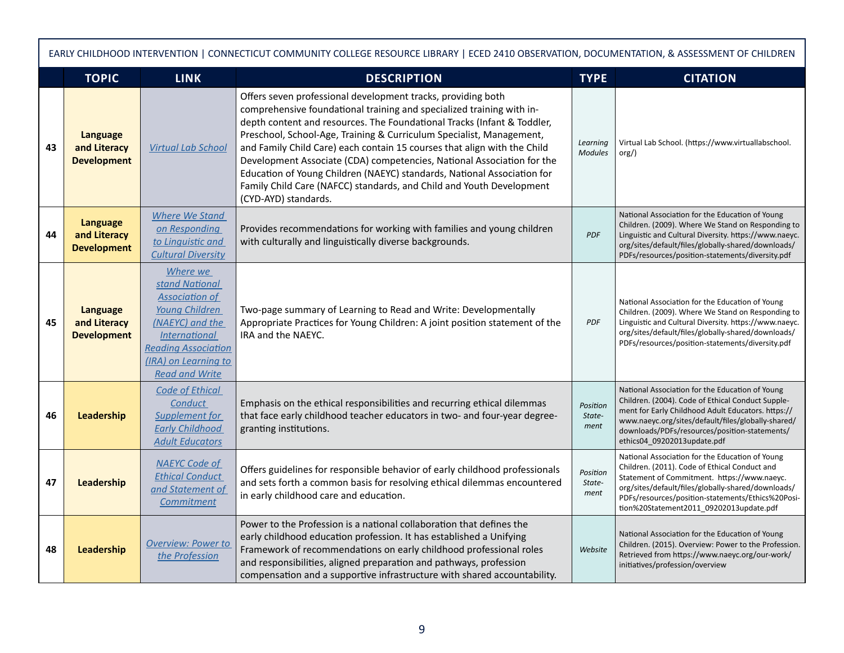|    | EARLY CHILDHOOD INTERVENTION   CONNECTICUT COMMUNITY COLLEGE RESOURCE LIBRARY   ECED 2410 OBSERVATION, DOCUMENTATION, & ASSESSMENT OF CHILDREN |                                                                                                                                                                                                 |                                                                                                                                                                                                                                                                                                                                                                                                                                                                                                                                                                                                                           |                            |                                                                                                                                                                                                                                                                                                       |  |  |  |
|----|------------------------------------------------------------------------------------------------------------------------------------------------|-------------------------------------------------------------------------------------------------------------------------------------------------------------------------------------------------|---------------------------------------------------------------------------------------------------------------------------------------------------------------------------------------------------------------------------------------------------------------------------------------------------------------------------------------------------------------------------------------------------------------------------------------------------------------------------------------------------------------------------------------------------------------------------------------------------------------------------|----------------------------|-------------------------------------------------------------------------------------------------------------------------------------------------------------------------------------------------------------------------------------------------------------------------------------------------------|--|--|--|
|    | <b>TOPIC</b>                                                                                                                                   | <b>LINK</b>                                                                                                                                                                                     | <b>DESCRIPTION</b>                                                                                                                                                                                                                                                                                                                                                                                                                                                                                                                                                                                                        | <b>TYPE</b>                | <b>CITATION</b>                                                                                                                                                                                                                                                                                       |  |  |  |
| 43 | <b>Language</b><br>and Literacy<br><b>Development</b>                                                                                          | <b>Virtual Lab School</b>                                                                                                                                                                       | Offers seven professional development tracks, providing both<br>comprehensive foundational training and specialized training with in-<br>depth content and resources. The Foundational Tracks (Infant & Toddler,<br>Preschool, School-Age, Training & Curriculum Specialist, Management,<br>and Family Child Care) each contain 15 courses that align with the Child<br>Development Associate (CDA) competencies, National Association for the<br>Education of Young Children (NAEYC) standards, National Association for<br>Family Child Care (NAFCC) standards, and Child and Youth Development<br>(CYD-AYD) standards. | Learning<br><b>Modules</b> | Virtual Lab School. (https://www.virtuallabschool.<br>org()                                                                                                                                                                                                                                           |  |  |  |
| 44 | <b>Language</b><br>and Literacy<br><b>Development</b>                                                                                          | Where We Stand<br>on Responding<br>to Linguistic and<br><b>Cultural Diversity</b>                                                                                                               | Provides recommendations for working with families and young children<br>with culturally and linguistically diverse backgrounds.                                                                                                                                                                                                                                                                                                                                                                                                                                                                                          | <b>PDF</b>                 | National Association for the Education of Young<br>Children. (2009). Where We Stand on Responding to<br>Linguistic and Cultural Diversity. https://www.naeyc.<br>org/sites/default/files/globally-shared/downloads/<br>PDFs/resources/position-statements/diversity.pdf                               |  |  |  |
| 45 | <b>Language</b><br>and Literacy<br><b>Development</b>                                                                                          | Where we<br>stand National<br><b>Association of</b><br>Young Children<br>(NAEYC) and the<br><b>International</b><br><b>Reading Association</b><br>(IRA) on Learning to<br><b>Read and Write</b> | Two-page summary of Learning to Read and Write: Developmentally<br>Appropriate Practices for Young Children: A joint position statement of the<br>IRA and the NAEYC.                                                                                                                                                                                                                                                                                                                                                                                                                                                      | <b>PDF</b>                 | National Association for the Education of Young<br>Children. (2009). Where We Stand on Responding to<br>Linguistic and Cultural Diversity. https://www.naeyc.<br>org/sites/default/files/globally-shared/downloads/<br>PDFs/resources/position-statements/diversity.pdf                               |  |  |  |
| 46 | Leadership                                                                                                                                     | Code of Ethical<br>Conduct<br>Supplement for<br><b>Early Childhood</b><br><b>Adult Educators</b>                                                                                                | Emphasis on the ethical responsibilities and recurring ethical dilemmas<br>that face early childhood teacher educators in two- and four-year degree-<br>granting institutions.                                                                                                                                                                                                                                                                                                                                                                                                                                            | Position<br>State-<br>ment | National Association for the Education of Young<br>Children. (2004). Code of Ethical Conduct Supple-<br>ment for Early Childhood Adult Educators. https://<br>www.naeyc.org/sites/default/files/globally-shared/<br>downloads/PDFs/resources/position-statements/<br>ethics04_09202013update.pdf      |  |  |  |
| 47 | Leadership                                                                                                                                     | <b>NAEYC Code of</b><br><b>Ethical Conduct</b><br>and Statement of<br><b>Commitment</b>                                                                                                         | Offers guidelines for responsible behavior of early childhood professionals<br>and sets forth a common basis for resolving ethical dilemmas encountered<br>in early childhood care and education.                                                                                                                                                                                                                                                                                                                                                                                                                         | Position<br>State-<br>ment | National Association for the Education of Young<br>Children. (2011). Code of Ethical Conduct and<br>Statement of Commitment. https://www.naeyc.<br>org/sites/default/files/globally-shared/downloads/<br>PDFs/resources/position-statements/Ethics%20Posi-<br>tion%20Statement2011 09202013update.pdf |  |  |  |
| 48 | Leadership                                                                                                                                     | <b>Overview: Power to</b><br>the Profession                                                                                                                                                     | Power to the Profession is a national collaboration that defines the<br>early childhood education profession. It has established a Unifying<br>Framework of recommendations on early childhood professional roles<br>and responsibilities, aligned preparation and pathways, profession<br>compensation and a supportive infrastructure with shared accountability.                                                                                                                                                                                                                                                       | Website                    | National Association for the Education of Young<br>Children. (2015). Overview: Power to the Profession.<br>Retrieved from https://www.naeyc.org/our-work/<br>initiatives/profession/overview                                                                                                          |  |  |  |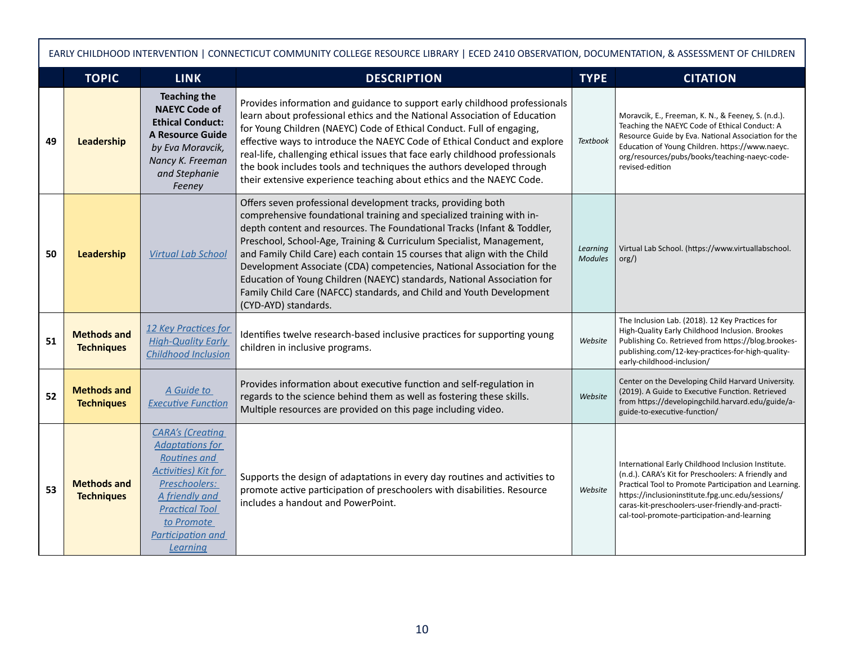|    | EARLY CHILDHOOD INTERVENTION   CONNECTICUT COMMUNITY COLLEGE RESOURCE LIBRARY   ECED 2410 OBSERVATION, DOCUMENTATION, & ASSESSMENT OF CHILDREN |                                                                                                                                                                                                                   |                                                                                                                                                                                                                                                                                                                                                                                                                                                                                                                                                                                                                           |                            |                                                                                                                                                                                                                                                                                                                           |  |  |  |
|----|------------------------------------------------------------------------------------------------------------------------------------------------|-------------------------------------------------------------------------------------------------------------------------------------------------------------------------------------------------------------------|---------------------------------------------------------------------------------------------------------------------------------------------------------------------------------------------------------------------------------------------------------------------------------------------------------------------------------------------------------------------------------------------------------------------------------------------------------------------------------------------------------------------------------------------------------------------------------------------------------------------------|----------------------------|---------------------------------------------------------------------------------------------------------------------------------------------------------------------------------------------------------------------------------------------------------------------------------------------------------------------------|--|--|--|
|    | <b>TOPIC</b>                                                                                                                                   | <b>LINK</b>                                                                                                                                                                                                       | <b>DESCRIPTION</b>                                                                                                                                                                                                                                                                                                                                                                                                                                                                                                                                                                                                        | <b>TYPE</b>                | <b>CITATION</b>                                                                                                                                                                                                                                                                                                           |  |  |  |
| 49 | Leadership                                                                                                                                     | <b>Teaching the</b><br><b>NAEYC Code of</b><br><b>Ethical Conduct:</b><br>A Resource Guide<br>by Eva Moravcik,<br>Nancy K. Freeman<br>and Stephanie<br>Feeney                                                     | Provides information and guidance to support early childhood professionals<br>learn about professional ethics and the National Association of Education<br>for Young Children (NAEYC) Code of Ethical Conduct. Full of engaging,<br>effective ways to introduce the NAEYC Code of Ethical Conduct and explore<br>real-life, challenging ethical issues that face early childhood professionals<br>the book includes tools and techniques the authors developed through<br>their extensive experience teaching about ethics and the NAEYC Code.                                                                            | <b>Textbook</b>            | Moravcik, E., Freeman, K. N., & Feeney, S. (n.d.).<br>Teaching the NAEYC Code of Ethical Conduct: A<br>Resource Guide by Eva. National Association for the<br>Education of Young Children. https://www.naeyc.<br>org/resources/pubs/books/teaching-naeyc-code-<br>revised-edition                                         |  |  |  |
| 50 | Leadership                                                                                                                                     | <b>Virtual Lab School</b>                                                                                                                                                                                         | Offers seven professional development tracks, providing both<br>comprehensive foundational training and specialized training with in-<br>depth content and resources. The Foundational Tracks (Infant & Toddler,<br>Preschool, School-Age, Training & Curriculum Specialist, Management,<br>and Family Child Care) each contain 15 courses that align with the Child<br>Development Associate (CDA) competencies, National Association for the<br>Education of Young Children (NAEYC) standards, National Association for<br>Family Child Care (NAFCC) standards, and Child and Youth Development<br>(CYD-AYD) standards. | Learning<br><b>Modules</b> | Virtual Lab School. (https://www.virtuallabschool.<br>org()                                                                                                                                                                                                                                                               |  |  |  |
| 51 | <b>Methods and</b><br><b>Techniques</b>                                                                                                        | 12 Key Practices for<br><b>High-Quality Early</b><br><b>Childhood Inclusion</b>                                                                                                                                   | Identifies twelve research-based inclusive practices for supporting young<br>children in inclusive programs.                                                                                                                                                                                                                                                                                                                                                                                                                                                                                                              | Website                    | The Inclusion Lab. (2018). 12 Key Practices for<br>High-Quality Early Childhood Inclusion. Brookes<br>Publishing Co. Retrieved from https://blog.brookes-<br>publishing.com/12-key-practices-for-high-quality-<br>early-childhood-inclusion/                                                                              |  |  |  |
| 52 | <b>Methods and</b><br><b>Techniques</b>                                                                                                        | A Guide to<br><b>Executive Function</b>                                                                                                                                                                           | Provides information about executive function and self-regulation in<br>regards to the science behind them as well as fostering these skills.<br>Multiple resources are provided on this page including video.                                                                                                                                                                                                                                                                                                                                                                                                            | Website                    | Center on the Developing Child Harvard University.<br>(2019). A Guide to Executive Function. Retrieved<br>from https://developingchild.harvard.edu/guide/a-<br>guide-to-executive-function/                                                                                                                               |  |  |  |
| 53 | <b>Methods and</b><br><b>Techniques</b>                                                                                                        | <b>CARA's (Creating</b><br><b>Adaptations for</b><br>Routines and<br><b>Activities) Kit for</b><br>Preschoolers:<br>A friendly and<br><b>Practical Tool</b><br>to Promote<br><b>Participation and</b><br>Learning | Supports the design of adaptations in every day routines and activities to<br>promote active participation of preschoolers with disabilities. Resource<br>includes a handout and PowerPoint.                                                                                                                                                                                                                                                                                                                                                                                                                              | Website                    | International Early Childhood Inclusion Institute.<br>(n.d.). CARA's Kit for Preschoolers: A friendly and<br>Practical Tool to Promote Participation and Learning.<br>https://inclusioninstitute.fpg.unc.edu/sessions/<br>caras-kit-preschoolers-user-friendly-and-practi-<br>cal-tool-promote-participation-and-learning |  |  |  |

 $\mathbf \Gamma$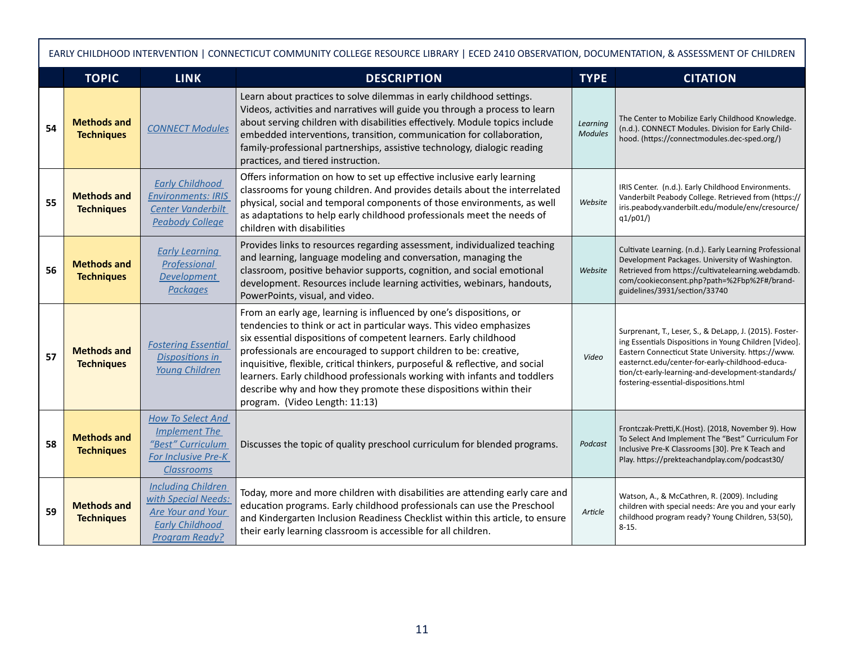|    | EARLY CHILDHOOD INTERVENTION   CONNECTICUT COMMUNITY COLLEGE RESOURCE LIBRARY   ECED 2410 OBSERVATION, DOCUMENTATION, & ASSESSMENT OF CHILDREN |                                                                                                                                 |                                                                                                                                                                                                                                                                                                                                                                                                                                                                                                                                                            |                            |                                                                                                                                                                                                                                                                                                                          |  |  |  |  |
|----|------------------------------------------------------------------------------------------------------------------------------------------------|---------------------------------------------------------------------------------------------------------------------------------|------------------------------------------------------------------------------------------------------------------------------------------------------------------------------------------------------------------------------------------------------------------------------------------------------------------------------------------------------------------------------------------------------------------------------------------------------------------------------------------------------------------------------------------------------------|----------------------------|--------------------------------------------------------------------------------------------------------------------------------------------------------------------------------------------------------------------------------------------------------------------------------------------------------------------------|--|--|--|--|
|    | <b>TOPIC</b>                                                                                                                                   | <b>LINK</b>                                                                                                                     | <b>DESCRIPTION</b>                                                                                                                                                                                                                                                                                                                                                                                                                                                                                                                                         | <b>TYPE</b>                | <b>CITATION</b>                                                                                                                                                                                                                                                                                                          |  |  |  |  |
| 54 | <b>Methods and</b><br><b>Techniques</b>                                                                                                        | <b>CONNECT Modules</b>                                                                                                          | Learn about practices to solve dilemmas in early childhood settings.<br>Videos, activities and narratives will guide you through a process to learn<br>about serving children with disabilities effectively. Module topics include<br>embedded interventions, transition, communication for collaboration,<br>family-professional partnerships, assistive technology, dialogic reading<br>practices, and tiered instruction.                                                                                                                               | Learning<br><b>Modules</b> | The Center to Mobilize Early Childhood Knowledge.<br>(n.d.). CONNECT Modules. Division for Early Child-<br>hood. (https://connectmodules.dec-sped.org/)                                                                                                                                                                  |  |  |  |  |
| 55 | <b>Methods and</b><br><b>Techniques</b>                                                                                                        | <b>Early Childhood</b><br><b>Environments: IRIS</b><br><b>Center Vanderbilt</b><br><b>Peabody College</b>                       | Offers information on how to set up effective inclusive early learning<br>classrooms for young children. And provides details about the interrelated<br>physical, social and temporal components of those environments, as well<br>as adaptations to help early childhood professionals meet the needs of<br>children with disabilities                                                                                                                                                                                                                    | Website                    | IRIS Center. (n.d.). Early Childhood Environments.<br>Vanderbilt Peabody College. Retrieved from (https://<br>iris.peabody.vanderbilt.edu/module/env/cresource/<br>q1/p01/                                                                                                                                               |  |  |  |  |
| 56 | <b>Methods and</b><br><b>Techniques</b>                                                                                                        | <b>Early Learning</b><br>Professional<br><b>Development</b><br><b>Packages</b>                                                  | Provides links to resources regarding assessment, individualized teaching<br>and learning, language modeling and conversation, managing the<br>classroom, positive behavior supports, cognition, and social emotional<br>development. Resources include learning activities, webinars, handouts,<br>PowerPoints, visual, and video.                                                                                                                                                                                                                        | Website                    | Cultivate Learning. (n.d.). Early Learning Professional<br>Development Packages. University of Washington.<br>Retrieved from https://cultivatelearning.webdamdb.<br>com/cookieconsent.php?path=%2Fbp%2F#/brand-<br>guidelines/3931/section/33740                                                                         |  |  |  |  |
| 57 | <b>Methods and</b><br><b>Techniques</b>                                                                                                        | <b>Fostering Essential</b><br><b>Dispositions in</b><br><b>Young Children</b>                                                   | From an early age, learning is influenced by one's dispositions, or<br>tendencies to think or act in particular ways. This video emphasizes<br>six essential dispositions of competent learners. Early childhood<br>professionals are encouraged to support children to be: creative,<br>inquisitive, flexible, critical thinkers, purposeful & reflective, and social<br>learners. Early childhood professionals working with infants and toddlers<br>describe why and how they promote these dispositions within their<br>program. (Video Length: 11:13) | Video                      | Surprenant, T., Leser, S., & DeLapp, J. (2015). Foster-<br>ing Essentials Dispositions in Young Children [Video].<br>Eastern Connecticut State University. https://www.<br>easternct.edu/center-for-early-childhood-educa-<br>tion/ct-early-learning-and-development-standards/<br>fostering-essential-dispositions.html |  |  |  |  |
| 58 | <b>Methods and</b><br><b>Techniques</b>                                                                                                        | <b>How To Select And</b><br><b>Implement The</b><br>"Best" Curriculum<br>For Inclusive Pre-K<br><b>Classrooms</b>               | Discusses the topic of quality preschool curriculum for blended programs.                                                                                                                                                                                                                                                                                                                                                                                                                                                                                  | Podcast                    | Frontczak-Pretti, K. (Host). (2018, November 9). How<br>To Select And Implement The "Best" Curriculum For<br>Inclusive Pre-K Classrooms [30]. Pre K Teach and<br>Play. https://prekteachandplay.com/podcast30/                                                                                                           |  |  |  |  |
| 59 | <b>Methods and</b><br><b>Techniques</b>                                                                                                        | <b>Including Children</b><br>with Special Needs:<br><b>Are Your and Your</b><br><b>Early Childhood</b><br><b>Program Ready?</b> | Today, more and more children with disabilities are attending early care and<br>education programs. Early childhood professionals can use the Preschool<br>and Kindergarten Inclusion Readiness Checklist within this article, to ensure<br>their early learning classroom is accessible for all children.                                                                                                                                                                                                                                                 | Article                    | Watson, A., & McCathren, R. (2009). Including<br>children with special needs: Are you and your early<br>childhood program ready? Young Children, 53(50),<br>$8-15.$                                                                                                                                                      |  |  |  |  |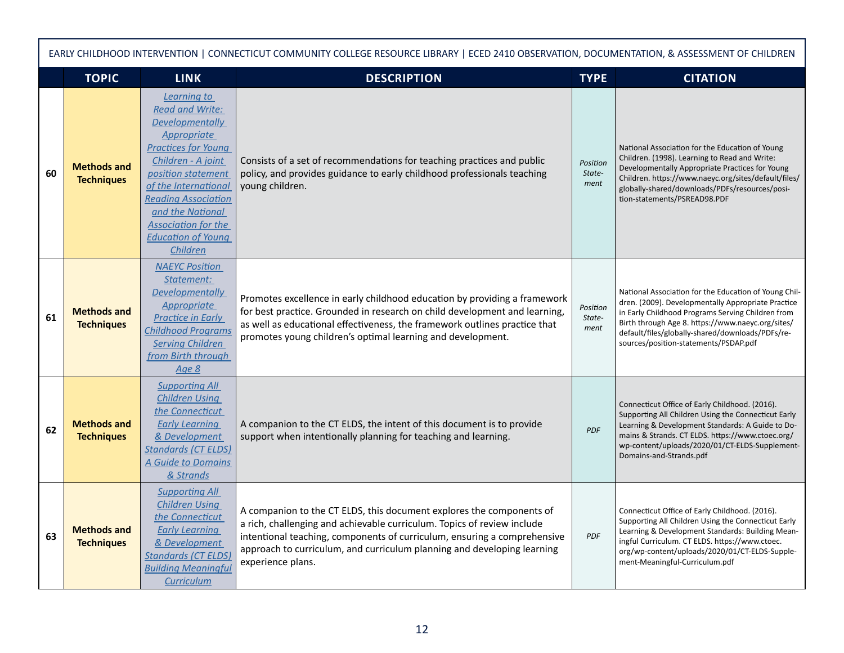| EARLY CHILDHOOD INTERVENTION   CONNECTICUT COMMUNITY COLLEGE RESOURCE LIBRARY   ECED 2410 OBSERVATION, DOCUMENTATION, & ASSESSMENT OF CHILDREN |                                         |                                                                                                                                                                                                                                                                                                                  |                                                                                                                                                                                                                                                                                                                             |                            |                                                                                                                                                                                                                                                                                                                    |  |  |
|------------------------------------------------------------------------------------------------------------------------------------------------|-----------------------------------------|------------------------------------------------------------------------------------------------------------------------------------------------------------------------------------------------------------------------------------------------------------------------------------------------------------------|-----------------------------------------------------------------------------------------------------------------------------------------------------------------------------------------------------------------------------------------------------------------------------------------------------------------------------|----------------------------|--------------------------------------------------------------------------------------------------------------------------------------------------------------------------------------------------------------------------------------------------------------------------------------------------------------------|--|--|
|                                                                                                                                                | <b>TOPIC</b>                            | <b>LINK</b>                                                                                                                                                                                                                                                                                                      | <b>DESCRIPTION</b>                                                                                                                                                                                                                                                                                                          | <b>TYPE</b>                | <b>CITATION</b>                                                                                                                                                                                                                                                                                                    |  |  |
| 60                                                                                                                                             | <b>Methods and</b><br><b>Techniques</b> | Learning to<br><b>Read and Write:</b><br><b>Developmentally</b><br><b>Appropriate</b><br><b>Practices for Young</b><br>Children - A joint<br>position statement<br>of the International<br><b>Reading Association</b><br>and the National<br><b>Association for the</b><br><b>Education of Young</b><br>Children | Consists of a set of recommendations for teaching practices and public<br>policy, and provides guidance to early childhood professionals teaching<br>young children.                                                                                                                                                        | Position<br>State-<br>ment | National Association for the Education of Young<br>Children. (1998). Learning to Read and Write:<br>Developmentally Appropriate Practices for Young<br>Children. https://www.naeyc.org/sites/default/files/<br>globally-shared/downloads/PDFs/resources/posi-<br>tion-statements/PSREAD98.PDF                      |  |  |
| 61                                                                                                                                             | <b>Methods and</b><br><b>Techniques</b> | <b>NAEYC Position</b><br>Statement:<br><b>Developmentally</b><br><b>Appropriate</b><br><b>Practice in Early</b><br><b>Childhood Programs</b><br><b>Serving Children</b><br>from Birth through<br>Age 8                                                                                                           | Promotes excellence in early childhood education by providing a framework<br>for best practice. Grounded in research on child development and learning,<br>as well as educational effectiveness, the framework outlines practice that<br>promotes young children's optimal learning and development.                        | Position<br>State-<br>ment | National Association for the Education of Young Chil-<br>dren. (2009). Developmentally Appropriate Practice<br>in Early Childhood Programs Serving Children from<br>Birth through Age 8. https://www.naeyc.org/sites/<br>default/files/globally-shared/downloads/PDFs/re-<br>sources/position-statements/PSDAP.pdf |  |  |
| 62                                                                                                                                             | <b>Methods and</b><br><b>Techniques</b> | <b>Supporting All</b><br><b>Children Using</b><br>the Connecticut<br><b>Early Learning</b><br>& Development<br><b>Standards (CT ELDS)</b><br>A Guide to Domains<br>& Strands                                                                                                                                     | A companion to the CT ELDS, the intent of this document is to provide<br>support when intentionally planning for teaching and learning.                                                                                                                                                                                     | <b>PDF</b>                 | Connecticut Office of Early Childhood. (2016).<br>Supporting All Children Using the Connecticut Early<br>Learning & Development Standards: A Guide to Do-<br>mains & Strands. CT ELDS. https://www.ctoec.org/<br>wp-content/uploads/2020/01/CT-ELDS-Supplement-<br>Domains-and-Strands.pdf                         |  |  |
| 63                                                                                                                                             | <b>Methods and</b><br><b>Techniques</b> | <b>Supporting All</b><br><b>Children Using</b><br>the Connecticut<br><b>Early Learning</b><br>& Development<br><b>Standards (CT ELDS)</b><br><b>Building Meaningful</b><br>Curriculum                                                                                                                            | A companion to the CT ELDS, this document explores the components of<br>a rich, challenging and achievable curriculum. Topics of review include<br>intentional teaching, components of curriculum, ensuring a comprehensive<br>approach to curriculum, and curriculum planning and developing learning<br>experience plans. | <b>PDF</b>                 | Connecticut Office of Early Childhood. (2016).<br>Supporting All Children Using the Connecticut Early<br>Learning & Development Standards: Building Mean-<br>ingful Curriculum. CT ELDS. https://www.ctoec.<br>org/wp-content/uploads/2020/01/CT-ELDS-Supple-<br>ment-Meaningful-Curriculum.pdf                    |  |  |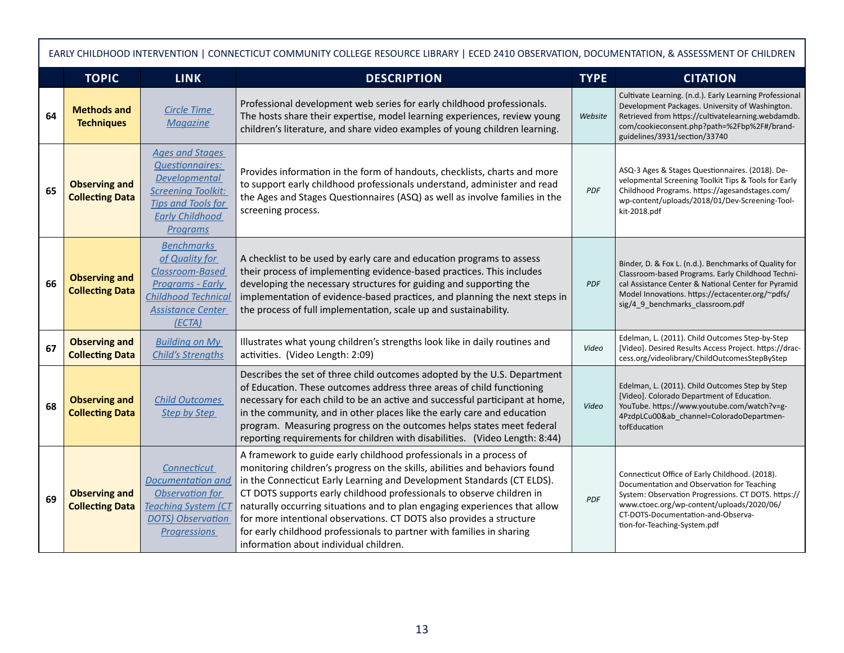| EARLY CHILDHOOD INTERVENTION   CONNECTICUT COMMUNITY COLLEGE RESOURCE LIBRARY   ECED 2410 OBSERVATION, DOCUMENTATION, & ASSESSMENT OF CHILDREN |                                                |                                                                                                                                                                          |                                                                                                                                                                                                                                                                                                                                                                                                                                                                                                                                                                               |             |                                                                                                                                                                                                                                                                        |  |
|------------------------------------------------------------------------------------------------------------------------------------------------|------------------------------------------------|--------------------------------------------------------------------------------------------------------------------------------------------------------------------------|-------------------------------------------------------------------------------------------------------------------------------------------------------------------------------------------------------------------------------------------------------------------------------------------------------------------------------------------------------------------------------------------------------------------------------------------------------------------------------------------------------------------------------------------------------------------------------|-------------|------------------------------------------------------------------------------------------------------------------------------------------------------------------------------------------------------------------------------------------------------------------------|--|
|                                                                                                                                                | <b>TOPIC</b>                                   | <b>LINK</b>                                                                                                                                                              | <b>DESCRIPTION</b>                                                                                                                                                                                                                                                                                                                                                                                                                                                                                                                                                            | <b>TYPE</b> | <b>CITATION</b>                                                                                                                                                                                                                                                        |  |
| 64                                                                                                                                             | <b>Methods and</b><br><b>Techniques</b>        | Circle Time<br><b>Magazine</b>                                                                                                                                           | Professional development web series for early childhood professionals.<br>The hosts share their expertise, model learning experiences, review young<br>children's literature, and share video examples of young children learning.                                                                                                                                                                                                                                                                                                                                            | Website     | Cultivate Learning. (n.d.). Early Learning Professional<br>Development Packages. University of Washington.<br>Retrieved from https://cultivatelearning.webdamdb.<br>com/cookieconsent.php?path=%2Fbp%2F#/brand-<br>guidelines/3931/section/33740                       |  |
| 65                                                                                                                                             | <b>Observing and</b><br><b>Collecting Data</b> | <b>Ages and Stages</b><br><b>Questionnaires:</b><br><b>Developmental</b><br><b>Screening Toolkit:</b><br><b>Tips and Tools for</b><br><b>Early Childhood</b><br>Programs | Provides information in the form of handouts, checklists, charts and more<br>to support early childhood professionals understand, administer and read<br>the Ages and Stages Questionnaires (ASQ) as well as involve families in the<br>screening process.                                                                                                                                                                                                                                                                                                                    | <b>PDF</b>  | ASQ-3 Ages & Stages Questionnaires. (2018). De-<br>velopmental Screening Toolkit Tips & Tools for Early<br>Childhood Programs. https://agesandstages.com/<br>wp-content/uploads/2018/01/Dev-Screening-Tool-<br>kit-2018.pdf                                            |  |
| 66                                                                                                                                             | <b>Observing and</b><br><b>Collecting Data</b> | <b>Benchmarks</b><br>of Quality for<br>Classroom-Based<br><b>Programs - Early</b><br><b>Childhood Technical</b><br><b>Assistance Center</b><br>(ECTA)                    | A checklist to be used by early care and education programs to assess<br>their process of implementing evidence-based practices. This includes<br>developing the necessary structures for guiding and supporting the<br>implementation of evidence-based practices, and planning the next steps in<br>the process of full implementation, scale up and sustainability.                                                                                                                                                                                                        | <b>PDF</b>  | Binder, D. & Fox L. (n.d.). Benchmarks of Quality for<br>Classroom-based Programs. Early Childhood Techni-<br>cal Assistance Center & National Center for Pyramid<br>Model Innovations. https://ectacenter.org/~pdfs/<br>sig/4_9_benchmarks_classroom.pdf              |  |
| 67                                                                                                                                             | <b>Observing and</b><br><b>Collecting Data</b> | <b>Building on My</b><br><b>Child's Strengths</b>                                                                                                                        | Illustrates what young children's strengths look like in daily routines and<br>activities. (Video Length: 2:09)                                                                                                                                                                                                                                                                                                                                                                                                                                                               | Video       | Edelman, L. (2011). Child Outcomes Step-by-Step<br>[Video]. Desired Results Access Project. https://drac-<br>cess.org/videolibrary/ChildOutcomesStepByStep                                                                                                             |  |
| 68                                                                                                                                             | <b>Observing and</b><br><b>Collecting Data</b> | <b>Child Outcomes</b><br>Step by Step                                                                                                                                    | Describes the set of three child outcomes adopted by the U.S. Department<br>of Education. These outcomes address three areas of child functioning<br>necessary for each child to be an active and successful participant at home,<br>in the community, and in other places like the early care and education<br>program. Measuring progress on the outcomes helps states meet federal<br>reporting requirements for children with disabilities. (Video Length: 8:44)                                                                                                          | Video       | Edelman, L. (2011). Child Outcomes Step by Step<br>[Video]. Colorado Department of Education.<br>YouTube. https://www.youtube.com/watch?v=g-<br>4PzdpLCu00&ab channel=ColoradoDepartmen-<br>tofEducation                                                               |  |
| 69                                                                                                                                             | <b>Observing and</b><br><b>Collecting Data</b> | <b>Connecticut</b><br><b>Documentation and</b><br>Observation for<br><b>Teaching System (CT</b><br><b>DOTS</b> ) Observation<br><b>Progressions</b>                      | A framework to guide early childhood professionals in a process of<br>monitoring children's progress on the skills, abilities and behaviors found<br>in the Connecticut Early Learning and Development Standards (CT ELDS).<br>CT DOTS supports early childhood professionals to observe children in<br>naturally occurring situations and to plan engaging experiences that allow<br>for more intentional observations. CT DOTS also provides a structure<br>for early childhood professionals to partner with families in sharing<br>information about individual children. | <b>PDF</b>  | Connecticut Office of Early Childhood. (2018).<br>Documentation and Observation for Teaching<br>System: Observation Progressions. CT DOTS. https://<br>www.ctoec.org/wp-content/uploads/2020/06/<br>CT-DOTS-Documentation-and-Observa-<br>tion-for-Teaching-System.pdf |  |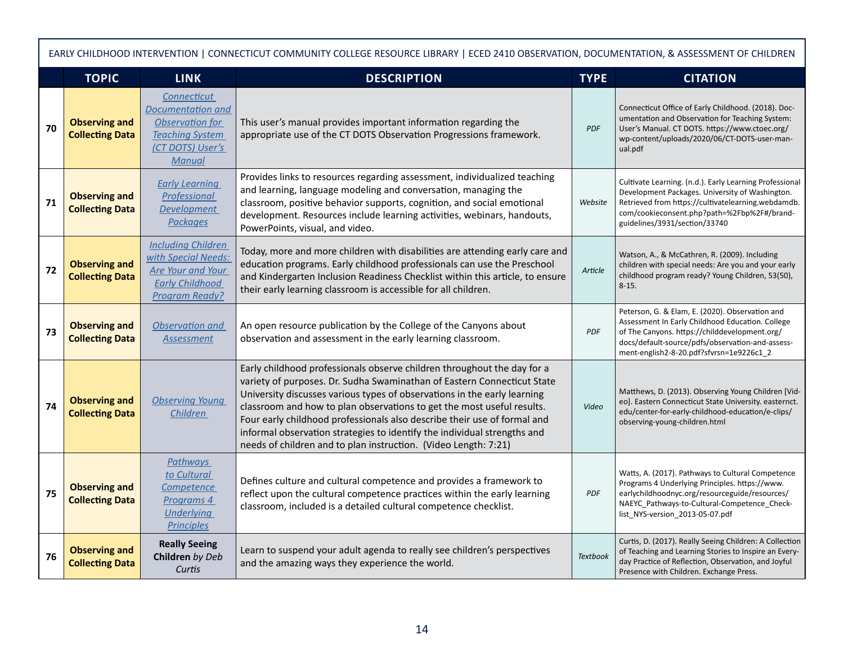| EARLY CHILDHOOD INTERVENTION   CONNECTICUT COMMUNITY COLLEGE RESOURCE LIBRARY   ECED 2410 OBSERVATION, DOCUMENTATION, & ASSESSMENT OF CHILDREN |                                                |                                                                                                                          |                                                                                                                                                                                                                                                                                                                                                                                                                                                                                                                                     |                 |                                                                                                                                                                                                                                                      |  |
|------------------------------------------------------------------------------------------------------------------------------------------------|------------------------------------------------|--------------------------------------------------------------------------------------------------------------------------|-------------------------------------------------------------------------------------------------------------------------------------------------------------------------------------------------------------------------------------------------------------------------------------------------------------------------------------------------------------------------------------------------------------------------------------------------------------------------------------------------------------------------------------|-----------------|------------------------------------------------------------------------------------------------------------------------------------------------------------------------------------------------------------------------------------------------------|--|
|                                                                                                                                                | <b>TOPIC</b>                                   | <b>LINK</b>                                                                                                              | <b>DESCRIPTION</b>                                                                                                                                                                                                                                                                                                                                                                                                                                                                                                                  | <b>TYPE</b>     | <b>CITATION</b>                                                                                                                                                                                                                                      |  |
| 70                                                                                                                                             | <b>Observing and</b><br><b>Collecting Data</b> | Connecticut<br>Documentation and<br>Observation for<br><b>Teaching System</b><br>(CT DOTS) User's<br><b>Manual</b>       | This user's manual provides important information regarding the<br>appropriate use of the CT DOTS Observation Progressions framework.                                                                                                                                                                                                                                                                                                                                                                                               | <b>PDF</b>      | Connecticut Office of Early Childhood. (2018). Doc-<br>umentation and Observation for Teaching System:<br>User's Manual. CT DOTS. https://www.ctoec.org/<br>wp-content/uploads/2020/06/CT-DOTS-user-man-<br>ual.pdf                                  |  |
| 71                                                                                                                                             | <b>Observing and</b><br><b>Collecting Data</b> | <b>Early Learning</b><br>Professional<br><b>Development</b><br><b>Packages</b>                                           | Provides links to resources regarding assessment, individualized teaching<br>and learning, language modeling and conversation, managing the<br>classroom, positive behavior supports, cognition, and social emotional<br>development. Resources include learning activities, webinars, handouts,<br>PowerPoints, visual, and video.                                                                                                                                                                                                 | Website         | Cultivate Learning. (n.d.). Early Learning Professional<br>Development Packages. University of Washington.<br>Retrieved from https://cultivatelearning.webdamdb.<br>com/cookieconsent.php?path=%2Fbp%2F#/brand-<br>guidelines/3931/section/33740     |  |
| 72                                                                                                                                             | <b>Observing and</b><br><b>Collecting Data</b> | <b>Including Children</b><br>with Special Needs:<br><b>Are Your and Your</b><br><b>Early Childhood</b><br>Program Ready? | Today, more and more children with disabilities are attending early care and<br>education programs. Early childhood professionals can use the Preschool<br>and Kindergarten Inclusion Readiness Checklist within this article, to ensure<br>their early learning classroom is accessible for all children.                                                                                                                                                                                                                          | Article         | Watson, A., & McCathren, R. (2009). Including<br>children with special needs: Are you and your early<br>childhood program ready? Young Children, 53(50),<br>$8 - 15.$                                                                                |  |
| 73                                                                                                                                             | <b>Observing and</b><br><b>Collecting Data</b> | Observation and<br><b>Assessment</b>                                                                                     | An open resource publication by the College of the Canyons about<br>observation and assessment in the early learning classroom.                                                                                                                                                                                                                                                                                                                                                                                                     | PDF             | Peterson, G. & Elam, E. (2020). Observation and<br>Assessment In Early Childhood Education. College<br>of The Canyons. https://childdevelopment.org/<br>docs/default-source/pdfs/observation-and-assess-<br>ment-english2-8-20.pdf?sfvrsn=1e9226c1_2 |  |
| 74                                                                                                                                             | <b>Observing and</b><br><b>Collecting Data</b> | <b>Observing Young</b><br>Children                                                                                       | Early childhood professionals observe children throughout the day for a<br>variety of purposes. Dr. Sudha Swaminathan of Eastern Connecticut State<br>University discusses various types of observations in the early learning<br>classroom and how to plan observations to get the most useful results.<br>Four early childhood professionals also describe their use of formal and<br>informal observation strategies to identify the individual strengths and<br>needs of children and to plan instruction. (Video Length: 7:21) | Video           | Matthews, D. (2013). Observing Young Children [Vid-<br>eo]. Eastern Connecticut State University. easternct.<br>edu/center-for-early-childhood-education/e-clips/<br>observing-young-children.html                                                   |  |
| 75                                                                                                                                             | <b>Observing and</b><br><b>Collecting Data</b> | <b>Pathways</b><br>to Cultural<br>Competence<br>Programs 4<br><b>Underlying</b><br><b>Principles</b>                     | Defines culture and cultural competence and provides a framework to<br>reflect upon the cultural competence practices within the early learning<br>classroom, included is a detailed cultural competence checklist.                                                                                                                                                                                                                                                                                                                 | PDF             | Watts, A. (2017). Pathways to Cultural Competence<br>Programs 4 Underlying Principles. https://www.<br>earlychildhoodnyc.org/resourceguide/resources/<br>NAEYC_Pathways-to-Cultural-Competence_Check-<br>list NYS-version 2013-05-07.pdf             |  |
| 76                                                                                                                                             | <b>Observing and</b><br><b>Collecting Data</b> | <b>Really Seeing</b><br>Children by Deb<br>Curtis                                                                        | Learn to suspend your adult agenda to really see children's perspectives<br>and the amazing ways they experience the world.                                                                                                                                                                                                                                                                                                                                                                                                         | <b>Textbook</b> | Curtis, D. (2017). Really Seeing Children: A Collection<br>of Teaching and Learning Stories to Inspire an Every-<br>day Practice of Reflection, Observation, and Joyful<br>Presence with Children. Exchange Press.                                   |  |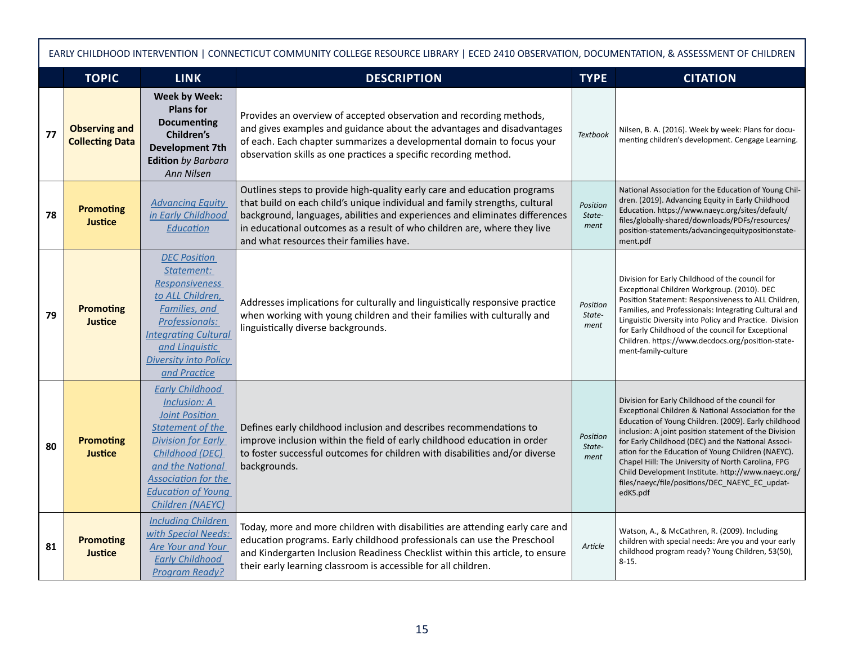| EARLY CHILDHOOD INTERVENTION   CONNECTICUT COMMUNITY COLLEGE RESOURCE LIBRARY   ECED 2410 OBSERVATION, DOCUMENTATION, & ASSESSMENT OF CHILDREN |                                                |                                                                                                                                                                                                                                                      |                                                                                                                                                                                                                                                                                                                                                               |                            |                                                                                                                                                                                                                                                                                                                                                                                                                                                                                                               |  |
|------------------------------------------------------------------------------------------------------------------------------------------------|------------------------------------------------|------------------------------------------------------------------------------------------------------------------------------------------------------------------------------------------------------------------------------------------------------|---------------------------------------------------------------------------------------------------------------------------------------------------------------------------------------------------------------------------------------------------------------------------------------------------------------------------------------------------------------|----------------------------|---------------------------------------------------------------------------------------------------------------------------------------------------------------------------------------------------------------------------------------------------------------------------------------------------------------------------------------------------------------------------------------------------------------------------------------------------------------------------------------------------------------|--|
|                                                                                                                                                | <b>TOPIC</b>                                   | <b>LINK</b>                                                                                                                                                                                                                                          | <b>DESCRIPTION</b>                                                                                                                                                                                                                                                                                                                                            | <b>TYPE</b>                | <b>CITATION</b>                                                                                                                                                                                                                                                                                                                                                                                                                                                                                               |  |
| 77                                                                                                                                             | <b>Observing and</b><br><b>Collecting Data</b> | <b>Week by Week:</b><br><b>Plans for</b><br><b>Documenting</b><br>Children's<br><b>Development 7th</b><br><b>Edition</b> by Barbara<br><b>Ann Nilsen</b>                                                                                             | Provides an overview of accepted observation and recording methods,<br>and gives examples and guidance about the advantages and disadvantages<br>of each. Each chapter summarizes a developmental domain to focus your<br>observation skills as one practices a specific recording method.                                                                    | <b>Textbook</b>            | Nilsen, B. A. (2016). Week by week: Plans for docu-<br>menting children's development. Cengage Learning.                                                                                                                                                                                                                                                                                                                                                                                                      |  |
| 78                                                                                                                                             | <b>Promoting</b><br><b>Justice</b>             | <b>Advancing Equity</b><br>in Early Childhood<br>Education                                                                                                                                                                                           | Outlines steps to provide high-quality early care and education programs<br>that build on each child's unique individual and family strengths, cultural<br>background, languages, abilities and experiences and eliminates differences<br>in educational outcomes as a result of who children are, where they live<br>and what resources their families have. | Position<br>State-<br>ment | National Association for the Education of Young Chil-<br>dren. (2019). Advancing Equity in Early Childhood<br>Education. https://www.naeyc.org/sites/default/<br>files/globally-shared/downloads/PDFs/resources/<br>position-statements/advancingequitypositionstate-<br>ment.pdf                                                                                                                                                                                                                             |  |
| 79                                                                                                                                             | <b>Promoting</b><br><b>Justice</b>             | <b>DEC Position</b><br>Statement:<br><b>Responsiveness</b><br>to ALL Children,<br><b>Families</b> , and<br>Professionals:<br><b>Integrating Cultural</b><br>and Linguistic<br><b>Diversity into Policy</b><br>and Practice                           | Addresses implications for culturally and linguistically responsive practice<br>when working with young children and their families with culturally and<br>linguistically diverse backgrounds.                                                                                                                                                                | Position<br>State-<br>ment | Division for Early Childhood of the council for<br>Exceptional Children Workgroup. (2010). DEC<br>Position Statement: Responsiveness to ALL Children,<br>Families, and Professionals: Integrating Cultural and<br>Linguistic Diversity into Policy and Practice. Division<br>for Early Childhood of the council for Exceptional<br>Children. https://www.decdocs.org/position-state-<br>ment-family-culture                                                                                                   |  |
| 80                                                                                                                                             | <b>Promoting</b><br><b>Justice</b>             | <b>Early Childhood</b><br><b>Inclusion: A</b><br><b>Joint Position</b><br><b>Statement of the</b><br><b>Division for Early</b><br>Childhood (DEC)<br>and the National<br><b>Association for the</b><br><b>Education of Young</b><br>Children (NAEYC) | Defines early childhood inclusion and describes recommendations to<br>improve inclusion within the field of early childhood education in order<br>to foster successful outcomes for children with disabilities and/or diverse<br>backgrounds.                                                                                                                 | Position<br>State-<br>ment | Division for Early Childhood of the council for<br>Exceptional Children & National Association for the<br>Education of Young Children. (2009). Early childhood<br>inclusion: A joint position statement of the Division<br>for Early Childhood (DEC) and the National Associ-<br>ation for the Education of Young Children (NAEYC).<br>Chapel Hill: The University of North Carolina, FPG<br>Child Development Institute. http://www.naeyc.org/<br>files/naeyc/file/positions/DEC_NAEYC_EC_updat-<br>edKS.pdf |  |
| 81                                                                                                                                             | <b>Promoting</b><br><b>Justice</b>             | <b>Including Children</b><br>with Special Needs:<br><b>Are Your and Your</b><br><b>Early Childhood</b><br><b>Program Ready?</b>                                                                                                                      | Today, more and more children with disabilities are attending early care and<br>education programs. Early childhood professionals can use the Preschool<br>and Kindergarten Inclusion Readiness Checklist within this article, to ensure<br>their early learning classroom is accessible for all children.                                                    | Article                    | Watson, A., & McCathren, R. (2009). Including<br>children with special needs: Are you and your early<br>childhood program ready? Young Children, 53(50),<br>$8 - 15$ .                                                                                                                                                                                                                                                                                                                                        |  |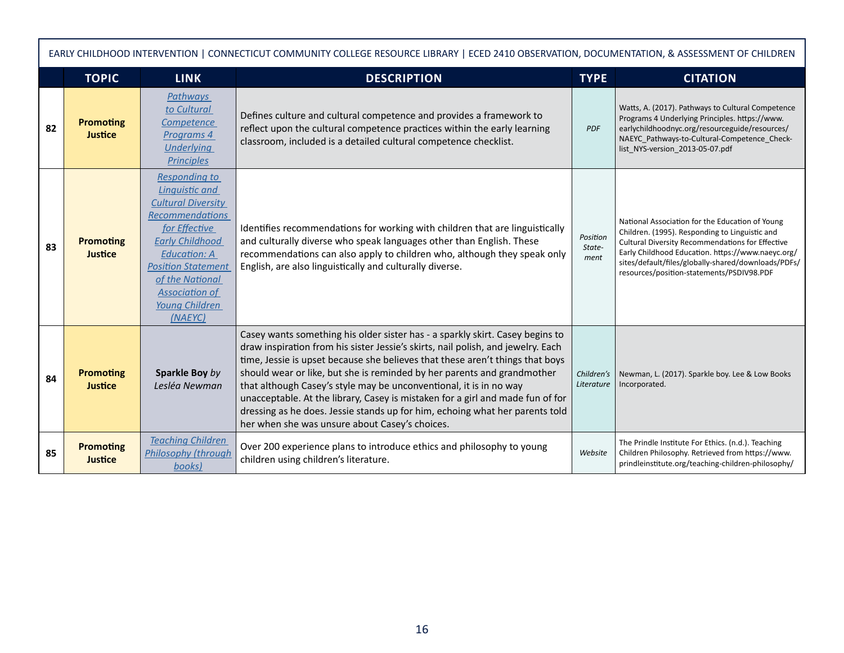|    | EARLY CHILDHOOD INTERVENTION   CONNECTICUT COMMUNITY COLLEGE RESOURCE LIBRARY   ECED 2410 OBSERVATION, DOCUMENTATION, & ASSESSMENT OF CHILDREN |                                                                                                                                                                                                                                                                       |                                                                                                                                                                                                                                                                                                                                                                                                                                                                                                                                                                                                                         |                            |                                                                                                                                                                                                                                                                                                                |  |  |
|----|------------------------------------------------------------------------------------------------------------------------------------------------|-----------------------------------------------------------------------------------------------------------------------------------------------------------------------------------------------------------------------------------------------------------------------|-------------------------------------------------------------------------------------------------------------------------------------------------------------------------------------------------------------------------------------------------------------------------------------------------------------------------------------------------------------------------------------------------------------------------------------------------------------------------------------------------------------------------------------------------------------------------------------------------------------------------|----------------------------|----------------------------------------------------------------------------------------------------------------------------------------------------------------------------------------------------------------------------------------------------------------------------------------------------------------|--|--|
|    | <b>TOPIC</b>                                                                                                                                   | <b>LINK</b>                                                                                                                                                                                                                                                           | <b>DESCRIPTION</b>                                                                                                                                                                                                                                                                                                                                                                                                                                                                                                                                                                                                      | <b>TYPE</b>                | <b>CITATION</b>                                                                                                                                                                                                                                                                                                |  |  |
| 82 | <b>Promoting</b><br><b>Justice</b>                                                                                                             | Pathways<br>to Cultural<br>Competence<br>Programs 4<br><b>Underlying</b><br><b>Principles</b>                                                                                                                                                                         | Defines culture and cultural competence and provides a framework to<br>reflect upon the cultural competence practices within the early learning<br>classroom, included is a detailed cultural competence checklist.                                                                                                                                                                                                                                                                                                                                                                                                     | <b>PDF</b>                 | Watts, A. (2017). Pathways to Cultural Competence<br>Programs 4 Underlying Principles. https://www.<br>earlychildhoodnyc.org/resourceguide/resources/<br>NAEYC_Pathways-to-Cultural-Competence_Check-<br>list NYS-version 2013-05-07.pdf                                                                       |  |  |
| 83 | <b>Promoting</b><br><b>Justice</b>                                                                                                             | <b>Responding to</b><br>Linguistic and<br><b>Cultural Diversity</b><br><b>Recommendations</b><br>for Effective<br><b>Early Childhood</b><br><b>Education: A</b><br><b>Position Statement</b><br>of the National<br><b>Association of</b><br>Young Children<br>(NAFYC) | Identifies recommendations for working with children that are linguistically<br>and culturally diverse who speak languages other than English. These<br>recommendations can also apply to children who, although they speak only<br>English, are also linguistically and culturally diverse.                                                                                                                                                                                                                                                                                                                            | Position<br>State-<br>ment | National Association for the Education of Young<br>Children. (1995). Responding to Linguistic and<br>Cultural Diversity Recommendations for Effective<br>Early Childhood Education. https://www.naeyc.org/<br>sites/default/files/globally-shared/downloads/PDFs/<br>resources/position-statements/PSDIV98.PDF |  |  |
| 84 | <b>Promoting</b><br><b>Justice</b>                                                                                                             | Sparkle Boy by<br>Lesléa Newman                                                                                                                                                                                                                                       | Casey wants something his older sister has - a sparkly skirt. Casey begins to<br>draw inspiration from his sister Jessie's skirts, nail polish, and jewelry. Each<br>time, Jessie is upset because she believes that these aren't things that boys<br>should wear or like, but she is reminded by her parents and grandmother<br>that although Casey's style may be unconventional, it is in no way<br>unacceptable. At the library, Casey is mistaken for a girl and made fun of for<br>dressing as he does. Jessie stands up for him, echoing what her parents told<br>her when she was unsure about Casey's choices. | Children's<br>Literature   | Newman, L. (2017). Sparkle boy. Lee & Low Books<br>Incorporated.                                                                                                                                                                                                                                               |  |  |
| 85 | <b>Promoting</b><br><b>Justice</b>                                                                                                             | <b>Teaching Children</b><br>Philosophy (through<br>books)                                                                                                                                                                                                             | Over 200 experience plans to introduce ethics and philosophy to young<br>children using children's literature.                                                                                                                                                                                                                                                                                                                                                                                                                                                                                                          | Website                    | The Prindle Institute For Ethics. (n.d.). Teaching<br>Children Philosophy. Retrieved from https://www.<br>prindleinstitute.org/teaching-children-philosophy/                                                                                                                                                   |  |  |

Г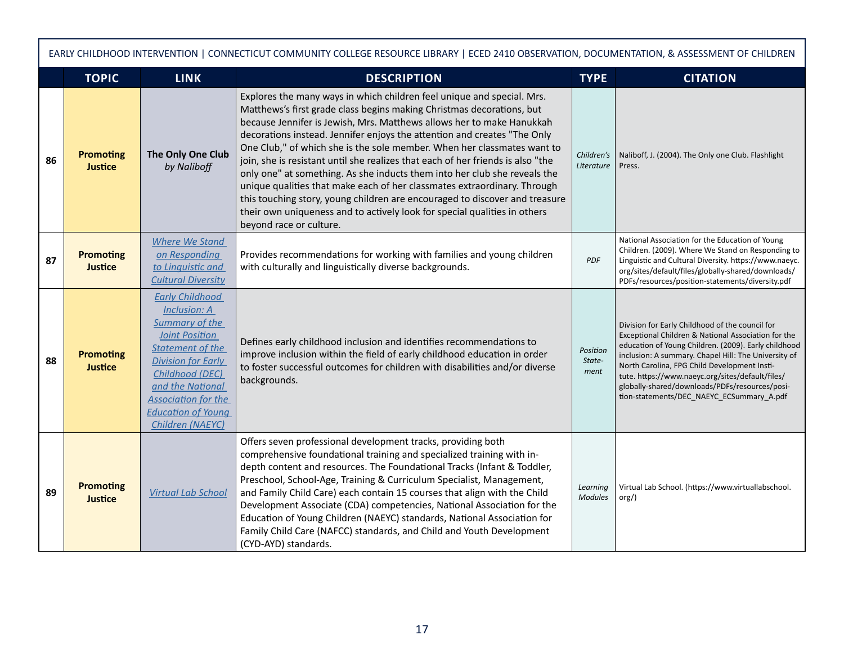| EARLY CHILDHOOD INTERVENTION   CONNECTICUT COMMUNITY COLLEGE RESOURCE LIBRARY   ECED 2410 OBSERVATION, DOCUMENTATION, & ASSESSMENT OF CHILDREN |                                    |                                                                                                                                                                                                                                                                 |                                                                                                                                                                                                                                                                                                                                                                                                                                                                                                                                                                                                                                                                                                                                                                                                                    |                            |                                                                                                                                                                                                                                                                                                                                                                                                                           |  |
|------------------------------------------------------------------------------------------------------------------------------------------------|------------------------------------|-----------------------------------------------------------------------------------------------------------------------------------------------------------------------------------------------------------------------------------------------------------------|--------------------------------------------------------------------------------------------------------------------------------------------------------------------------------------------------------------------------------------------------------------------------------------------------------------------------------------------------------------------------------------------------------------------------------------------------------------------------------------------------------------------------------------------------------------------------------------------------------------------------------------------------------------------------------------------------------------------------------------------------------------------------------------------------------------------|----------------------------|---------------------------------------------------------------------------------------------------------------------------------------------------------------------------------------------------------------------------------------------------------------------------------------------------------------------------------------------------------------------------------------------------------------------------|--|
|                                                                                                                                                | <b>TOPIC</b>                       | <b>LINK</b>                                                                                                                                                                                                                                                     | <b>DESCRIPTION</b>                                                                                                                                                                                                                                                                                                                                                                                                                                                                                                                                                                                                                                                                                                                                                                                                 | <b>TYPE</b>                | <b>CITATION</b>                                                                                                                                                                                                                                                                                                                                                                                                           |  |
| 86                                                                                                                                             | <b>Promoting</b><br><b>Justice</b> | The Only One Club<br>by Naliboff                                                                                                                                                                                                                                | Explores the many ways in which children feel unique and special. Mrs.<br>Matthews's first grade class begins making Christmas decorations, but<br>because Jennifer is Jewish, Mrs. Matthews allows her to make Hanukkah<br>decorations instead. Jennifer enjoys the attention and creates "The Only<br>One Club," of which she is the sole member. When her classmates want to<br>join, she is resistant until she realizes that each of her friends is also "the<br>only one" at something. As she inducts them into her club she reveals the<br>unique qualities that make each of her classmates extraordinary. Through<br>this touching story, young children are encouraged to discover and treasure<br>their own uniqueness and to actively look for special qualities in others<br>beyond race or culture. | Children's<br>Literature   | Naliboff, J. (2004). The Only one Club. Flashlight<br>Press.                                                                                                                                                                                                                                                                                                                                                              |  |
| 87                                                                                                                                             | <b>Promoting</b><br><b>Justice</b> | <b>Where We Stand</b><br>on Responding<br>to Linquistic and<br><b>Cultural Diversity</b>                                                                                                                                                                        | Provides recommendations for working with families and young children<br>with culturally and linguistically diverse backgrounds.                                                                                                                                                                                                                                                                                                                                                                                                                                                                                                                                                                                                                                                                                   | <b>PDF</b>                 | National Association for the Education of Young<br>Children. (2009). Where We Stand on Responding to<br>Linguistic and Cultural Diversity. https://www.naeyc.<br>org/sites/default/files/globally-shared/downloads/<br>PDFs/resources/position-statements/diversity.pdf                                                                                                                                                   |  |
| 88                                                                                                                                             | <b>Promoting</b><br><b>Justice</b> | <b>Early Childhood</b><br>Inclusion: A<br>Summary of the<br><b>Joint Position</b><br><b>Statement of the</b><br><b>Division for Early</b><br>Childhood (DEC)<br>and the National<br><b>Association for the</b><br><b>Education of Young</b><br>Children (NAEYC) | Defines early childhood inclusion and identifies recommendations to<br>improve inclusion within the field of early childhood education in order<br>to foster successful outcomes for children with disabilities and/or diverse<br>backgrounds.                                                                                                                                                                                                                                                                                                                                                                                                                                                                                                                                                                     | Position<br>State-<br>ment | Division for Early Childhood of the council for<br>Exceptional Children & National Association for the<br>education of Young Children. (2009). Early childhood<br>inclusion: A summary. Chapel Hill: The University of<br>North Carolina, FPG Child Development Insti-<br>tute. https://www.naeyc.org/sites/default/files/<br>globally-shared/downloads/PDFs/resources/posi-<br>tion-statements/DEC_NAEYC_ECSummary_A.pdf |  |
| 89                                                                                                                                             | <b>Promoting</b><br><b>Justice</b> | <b>Virtual Lab School</b>                                                                                                                                                                                                                                       | Offers seven professional development tracks, providing both<br>comprehensive foundational training and specialized training with in-<br>depth content and resources. The Foundational Tracks (Infant & Toddler,<br>Preschool, School-Age, Training & Curriculum Specialist, Management,<br>and Family Child Care) each contain 15 courses that align with the Child<br>Development Associate (CDA) competencies, National Association for the<br>Education of Young Children (NAEYC) standards, National Association for<br>Family Child Care (NAFCC) standards, and Child and Youth Development<br>(CYD-AYD) standards.                                                                                                                                                                                          | Learning<br><b>Modules</b> | Virtual Lab School. (https://www.virtuallabschool.<br>org()                                                                                                                                                                                                                                                                                                                                                               |  |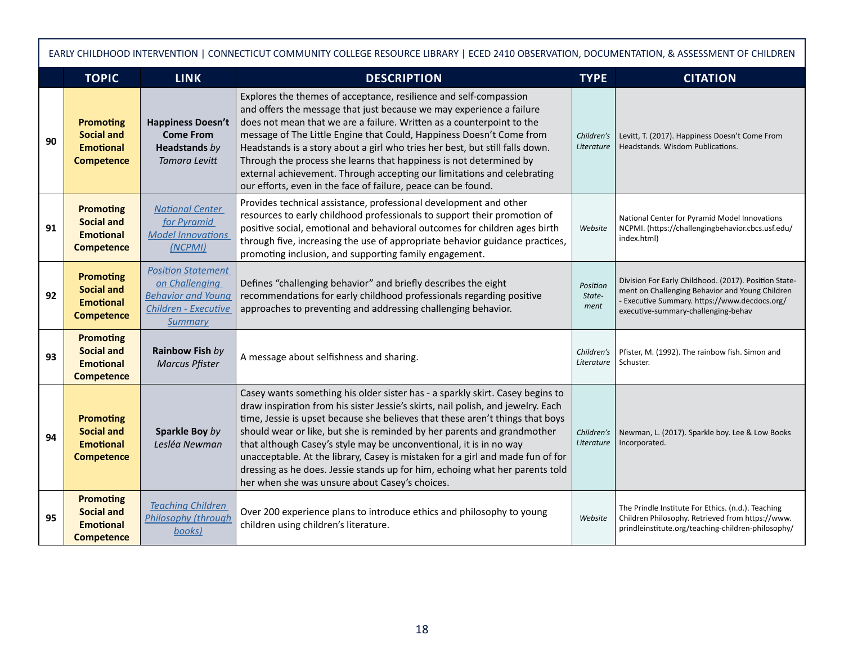| EARLY CHILDHOOD INTERVENTION   CONNECTICUT COMMUNITY COLLEGE RESOURCE LIBRARY   ECED 2410 OBSERVATION, DOCUMENTATION, & ASSESSMENT OF CHILDREN |                                                                                |                                                                                                             |                                                                                                                                                                                                                                                                                                                                                                                                                                                                                                                                                                                                                         |                            |                                                                                                                                                                                                  |  |
|------------------------------------------------------------------------------------------------------------------------------------------------|--------------------------------------------------------------------------------|-------------------------------------------------------------------------------------------------------------|-------------------------------------------------------------------------------------------------------------------------------------------------------------------------------------------------------------------------------------------------------------------------------------------------------------------------------------------------------------------------------------------------------------------------------------------------------------------------------------------------------------------------------------------------------------------------------------------------------------------------|----------------------------|--------------------------------------------------------------------------------------------------------------------------------------------------------------------------------------------------|--|
|                                                                                                                                                | <b>TOPIC</b>                                                                   | <b>LINK</b>                                                                                                 | <b>DESCRIPTION</b>                                                                                                                                                                                                                                                                                                                                                                                                                                                                                                                                                                                                      | <b>TYPE</b>                | <b>CITATION</b>                                                                                                                                                                                  |  |
| 90                                                                                                                                             | <b>Promoting</b><br><b>Social and</b><br><b>Emotional</b><br><b>Competence</b> | <b>Happiness Doesn't</b><br><b>Come From</b><br><b>Headstands</b> by<br><b>Tamara Levitt</b>                | Explores the themes of acceptance, resilience and self-compassion<br>and offers the message that just because we may experience a failure<br>does not mean that we are a failure. Written as a counterpoint to the<br>message of The Little Engine that Could, Happiness Doesn't Come from<br>Headstands is a story about a girl who tries her best, but still falls down.<br>Through the process she learns that happiness is not determined by<br>external achievement. Through accepting our limitations and celebrating<br>our efforts, even in the face of failure, peace can be found.                            | Children's<br>Literature   | Levitt, T. (2017). Happiness Doesn't Come From<br>Headstands. Wisdom Publications.                                                                                                               |  |
| 91                                                                                                                                             | <b>Promoting</b><br><b>Social and</b><br><b>Emotional</b><br><b>Competence</b> | <b>National Center</b><br>for Pyramid<br><b>Model Innovations</b><br>(NCPMI)                                | Provides technical assistance, professional development and other<br>resources to early childhood professionals to support their promotion of<br>positive social, emotional and behavioral outcomes for children ages birth<br>through five, increasing the use of appropriate behavior guidance practices,<br>promoting inclusion, and supporting family engagement.                                                                                                                                                                                                                                                   | Website                    | National Center for Pyramid Model Innovations<br>NCPMI. (https://challengingbehavior.cbcs.usf.edu/<br>index.html)                                                                                |  |
| 92                                                                                                                                             | <b>Promoting</b><br><b>Social and</b><br><b>Emotional</b><br><b>Competence</b> | <b>Position Statement</b><br>on Challenging<br><b>Behavior and Young</b><br>Children - Executive<br>Summary | Defines "challenging behavior" and briefly describes the eight<br>recommendations for early childhood professionals regarding positive<br>approaches to preventing and addressing challenging behavior.                                                                                                                                                                                                                                                                                                                                                                                                                 | Position<br>State-<br>ment | Division For Early Childhood. (2017). Position State-<br>ment on Challenging Behavior and Young Children<br>- Executive Summary. https://www.decdocs.org/<br>executive-summary-challenging-behav |  |
| 93                                                                                                                                             | <b>Promoting</b><br><b>Social and</b><br><b>Emotional</b><br><b>Competence</b> | Rainbow Fish by<br><b>Marcus Pfister</b>                                                                    | A message about selfishness and sharing.                                                                                                                                                                                                                                                                                                                                                                                                                                                                                                                                                                                | Children's<br>Literature   | Pfister, M. (1992). The rainbow fish. Simon and<br>Schuster.                                                                                                                                     |  |
| 94                                                                                                                                             | <b>Promoting</b><br><b>Social and</b><br><b>Emotional</b><br><b>Competence</b> | Sparkle Boy by<br>Lesléa Newman                                                                             | Casey wants something his older sister has - a sparkly skirt. Casey begins to<br>draw inspiration from his sister Jessie's skirts, nail polish, and jewelry. Each<br>time, Jessie is upset because she believes that these aren't things that boys<br>should wear or like, but she is reminded by her parents and grandmother<br>that although Casey's style may be unconventional, it is in no way<br>unacceptable. At the library, Casey is mistaken for a girl and made fun of for<br>dressing as he does. Jessie stands up for him, echoing what her parents told<br>her when she was unsure about Casey's choices. | Children's<br>Literature   | Newman, L. (2017). Sparkle boy. Lee & Low Books<br>Incorporated.                                                                                                                                 |  |
| 95                                                                                                                                             | <b>Promoting</b><br><b>Social and</b><br><b>Emotional</b><br><b>Competence</b> | <b>Teaching Children</b><br>Philosophy (through<br>books)                                                   | Over 200 experience plans to introduce ethics and philosophy to young<br>children using children's literature.                                                                                                                                                                                                                                                                                                                                                                                                                                                                                                          | Website                    | The Prindle Institute For Ethics. (n.d.). Teaching<br>Children Philosophy. Retrieved from https://www.<br>prindleinstitute.org/teaching-children-philosophy/                                     |  |

Г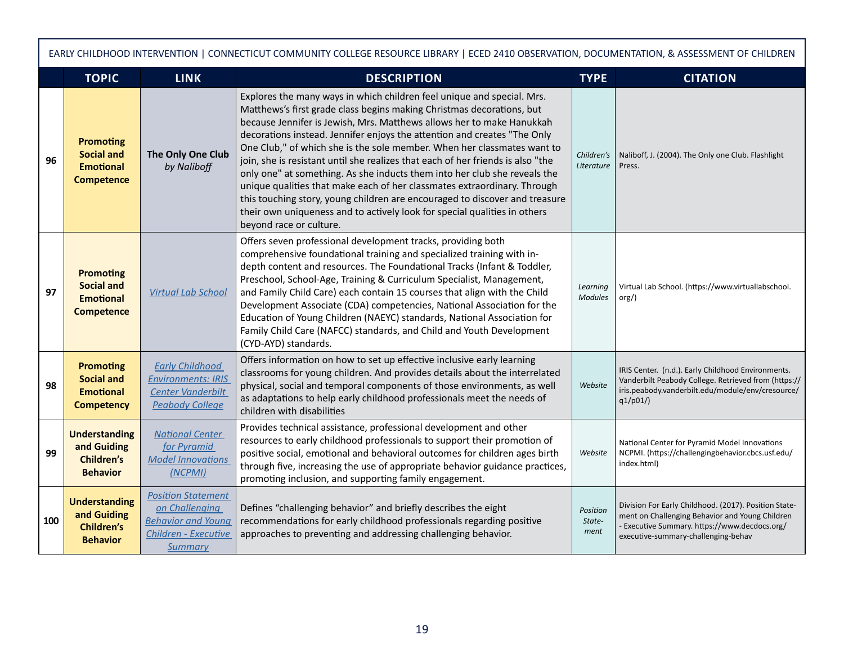|     | EARLY CHILDHOOD INTERVENTION   CONNECTICUT COMMUNITY COLLEGE RESOURCE LIBRARY   ECED 2410 OBSERVATION, DOCUMENTATION, & ASSESSMENT OF CHILDREN |                                                                                                             |                                                                                                                                                                                                                                                                                                                                                                                                                                                                                                                                                                                                                                                                                                                                                                                                                    |                            |                                                                                                                                                                                                  |  |  |
|-----|------------------------------------------------------------------------------------------------------------------------------------------------|-------------------------------------------------------------------------------------------------------------|--------------------------------------------------------------------------------------------------------------------------------------------------------------------------------------------------------------------------------------------------------------------------------------------------------------------------------------------------------------------------------------------------------------------------------------------------------------------------------------------------------------------------------------------------------------------------------------------------------------------------------------------------------------------------------------------------------------------------------------------------------------------------------------------------------------------|----------------------------|--------------------------------------------------------------------------------------------------------------------------------------------------------------------------------------------------|--|--|
|     | <b>TOPIC</b>                                                                                                                                   | <b>LINK</b>                                                                                                 | <b>DESCRIPTION</b>                                                                                                                                                                                                                                                                                                                                                                                                                                                                                                                                                                                                                                                                                                                                                                                                 | <b>TYPE</b>                | <b>CITATION</b>                                                                                                                                                                                  |  |  |
| 96  | <b>Promoting</b><br><b>Social and</b><br><b>Emotional</b><br><b>Competence</b>                                                                 | The Only One Club<br>by Naliboff                                                                            | Explores the many ways in which children feel unique and special. Mrs.<br>Matthews's first grade class begins making Christmas decorations, but<br>because Jennifer is Jewish, Mrs. Matthews allows her to make Hanukkah<br>decorations instead. Jennifer enjoys the attention and creates "The Only<br>One Club," of which she is the sole member. When her classmates want to<br>join, she is resistant until she realizes that each of her friends is also "the<br>only one" at something. As she inducts them into her club she reveals the<br>unique qualities that make each of her classmates extraordinary. Through<br>this touching story, young children are encouraged to discover and treasure<br>their own uniqueness and to actively look for special qualities in others<br>beyond race or culture. | Children's<br>Literature   | Naliboff, J. (2004). The Only one Club. Flashlight<br>Press.                                                                                                                                     |  |  |
| 97  | <b>Promoting</b><br><b>Social and</b><br><b>Emotional</b><br><b>Competence</b>                                                                 | <b>Virtual Lab School</b>                                                                                   | Offers seven professional development tracks, providing both<br>comprehensive foundational training and specialized training with in-<br>depth content and resources. The Foundational Tracks (Infant & Toddler,<br>Preschool, School-Age, Training & Curriculum Specialist, Management,<br>and Family Child Care) each contain 15 courses that align with the Child<br>Development Associate (CDA) competencies, National Association for the<br>Education of Young Children (NAEYC) standards, National Association for<br>Family Child Care (NAFCC) standards, and Child and Youth Development<br>(CYD-AYD) standards.                                                                                                                                                                                          | Learning<br><b>Modules</b> | Virtual Lab School. (https://www.virtuallabschool.<br>$\text{org}/$ )                                                                                                                            |  |  |
| 98  | <b>Promoting</b><br><b>Social and</b><br><b>Emotional</b><br><b>Competency</b>                                                                 | <b>Early Childhood</b><br><b>Environments: IRIS</b><br><b>Center Vanderbilt</b><br><b>Peabody College</b>   | Offers information on how to set up effective inclusive early learning<br>classrooms for young children. And provides details about the interrelated<br>physical, social and temporal components of those environments, as well<br>as adaptations to help early childhood professionals meet the needs of<br>children with disabilities                                                                                                                                                                                                                                                                                                                                                                                                                                                                            | Website                    | IRIS Center. (n.d.). Early Childhood Environments.<br>Vanderbilt Peabody College. Retrieved from (https://<br>iris.peabody.vanderbilt.edu/module/env/cresource/<br>q1/p01/                       |  |  |
| 99  | <b>Understanding</b><br>and Guiding<br><b>Children's</b><br><b>Behavior</b>                                                                    | <b>National Center</b><br>for Pyramid<br><b>Model Innovations</b><br>(NCPMI)                                | Provides technical assistance, professional development and other<br>resources to early childhood professionals to support their promotion of<br>positive social, emotional and behavioral outcomes for children ages birth<br>through five, increasing the use of appropriate behavior guidance practices,<br>promoting inclusion, and supporting family engagement.                                                                                                                                                                                                                                                                                                                                                                                                                                              | Website                    | National Center for Pyramid Model Innovations<br>NCPMI. (https://challengingbehavior.cbcs.usf.edu/<br>index.html)                                                                                |  |  |
| 100 | <b>Understanding</b><br>and Guiding<br><b>Children's</b><br><b>Behavior</b>                                                                    | <b>Position Statement</b><br>on Challenging<br><b>Behavior and Young</b><br>Children - Executive<br>Summary | Defines "challenging behavior" and briefly describes the eight<br>recommendations for early childhood professionals regarding positive<br>approaches to preventing and addressing challenging behavior.                                                                                                                                                                                                                                                                                                                                                                                                                                                                                                                                                                                                            | Position<br>State-<br>ment | Division For Early Childhood. (2017). Position State-<br>ment on Challenging Behavior and Young Children<br>- Executive Summary. https://www.decdocs.org/<br>executive-summary-challenging-behav |  |  |